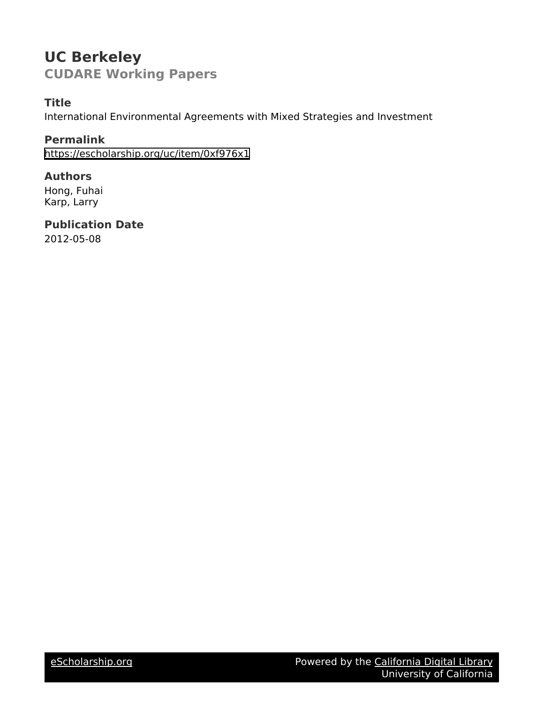## **UC Berkeley CUDARE Working Papers**

### **Title**

International Environmental Agreements with Mixed Strategies and Investment

## **Permalink**

<https://escholarship.org/uc/item/0xf976x1>

### **Authors**

Hong, Fuhai Karp, Larry

**Publication Date** 2012-05-08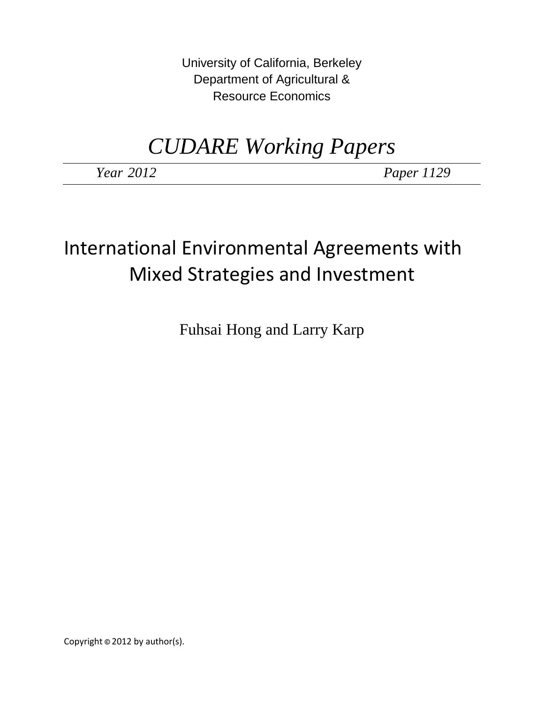University of California, Berkeley Department of Agricultural & Resource Economics

# *CUDARE Working Papers*

*Year 2012 Paper 1129*

# International Environmental Agreements with Mixed Strategies and Investment

Fuhsai Hong and Larry Karp

Copyright **©** 2012 by author(s).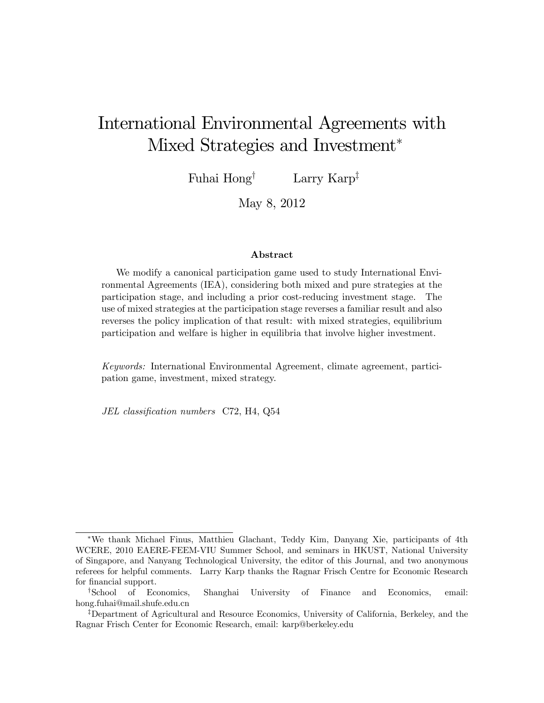## International Environmental Agreements with Mixed Strategies and Investment<sup>∗</sup>

Fuhai Hong† Larry Karp‡

May 8, 2012

#### Abstract

We modify a canonical participation game used to study International Environmental Agreements (IEA), considering both mixed and pure strategies at the participation stage, and including a prior cost-reducing investment stage. The use of mixed strategies at the participation stage reverses a familiar result and also reverses the policy implication of that result: with mixed strategies, equilibrium participation and welfare is higher in equilibria that involve higher investment.

Keywords: International Environmental Agreement, climate agreement, participation game, investment, mixed strategy.

JEL classification numbers C72, H4, Q54

<sup>∗</sup>We thank Michael Finus, Matthieu Glachant, Teddy Kim, Danyang Xie, participants of 4th WCERE, 2010 EAERE-FEEM-VIU Summer School, and seminars in HKUST, National University of Singapore, and Nanyang Technological University, the editor of this Journal, and two anonymous referees for helpful comments. Larry Karp thanks the Ragnar Frisch Centre for Economic Research for financial support.

<sup>†</sup>School of Economics, Shanghai University of Finance and Economics, email: hong.fuhai@mail.shufe.edu.cn

<sup>‡</sup>Department of Agricultural and Resource Economics, University of California, Berkeley, and the Ragnar Frisch Center for Economic Research, email: karp@berkeley.edu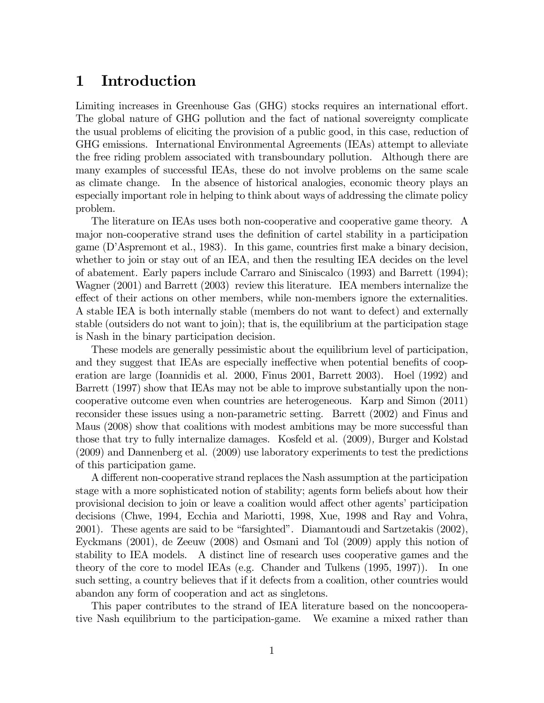## 1 Introduction

Limiting increases in Greenhouse Gas (GHG) stocks requires an international effort. The global nature of GHG pollution and the fact of national sovereignty complicate the usual problems of eliciting the provision of a public good, in this case, reduction of GHG emissions. International Environmental Agreements (IEAs) attempt to alleviate the free riding problem associated with transboundary pollution. Although there are many examples of successful IEAs, these do not involve problems on the same scale as climate change. In the absence of historical analogies, economic theory plays an especially important role in helping to think about ways of addressing the climate policy problem.

The literature on IEAs uses both non-cooperative and cooperative game theory. A major non-cooperative strand uses the definition of cartel stability in a participation game (D'Aspremont et al., 1983). In this game, countries first make a binary decision, whether to join or stay out of an IEA, and then the resulting IEA decides on the level of abatement. Early papers include Carraro and Siniscalco (1993) and Barrett (1994); Wagner (2001) and Barrett (2003) review this literature. IEA members internalize the effect of their actions on other members, while non-members ignore the externalities. A stable IEA is both internally stable (members do not want to defect) and externally stable (outsiders do not want to join); that is, the equilibrium at the participation stage is Nash in the binary participation decision.

These models are generally pessimistic about the equilibrium level of participation, and they suggest that IEAs are especially ineffective when potential benefits of cooperation are large (Ioannidis et al. 2000, Finus 2001, Barrett 2003). Hoel (1992) and Barrett (1997) show that IEAs may not be able to improve substantially upon the noncooperative outcome even when countries are heterogeneous. Karp and Simon (2011) reconsider these issues using a non-parametric setting. Barrett (2002) and Finus and Maus (2008) show that coalitions with modest ambitions may be more successful than those that try to fully internalize damages. Kosfeld et al. (2009), Burger and Kolstad (2009) and Dannenberg et al. (2009) use laboratory experiments to test the predictions of this participation game.

A different non-cooperative strand replaces the Nash assumption at the participation stage with a more sophisticated notion of stability; agents form beliefs about how their provisional decision to join or leave a coalition would affect other agents' participation decisions (Chwe, 1994, Ecchia and Mariotti, 1998, Xue, 1998 and Ray and Vohra, 2001). These agents are said to be "farsighted". Diamantoudi and Sartzetakis (2002), Eyckmans (2001), de Zeeuw (2008) and Osmani and Tol (2009) apply this notion of stability to IEA models. A distinct line of research uses cooperative games and the theory of the core to model IEAs (e.g. Chander and Tulkens (1995, 1997)). In one such setting, a country believes that if it defects from a coalition, other countries would abandon any form of cooperation and act as singletons.

This paper contributes to the strand of IEA literature based on the noncooperative Nash equilibrium to the participation-game. We examine a mixed rather than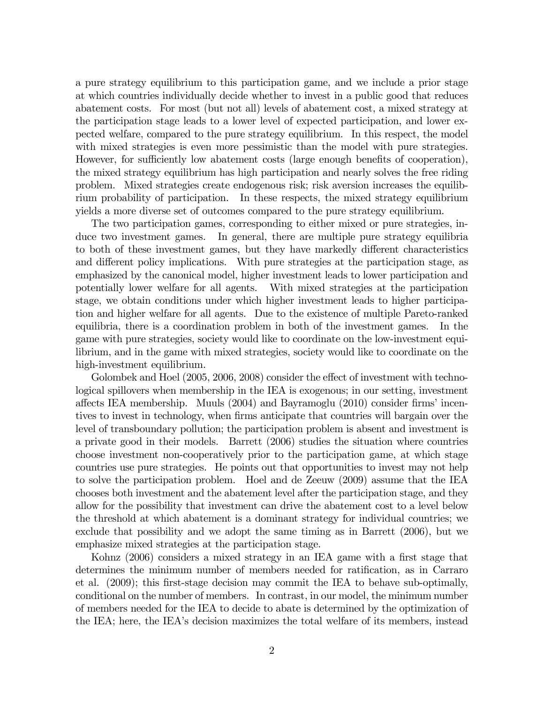a pure strategy equilibrium to this participation game, and we include a prior stage at which countries individually decide whether to invest in a public good that reduces abatement costs. For most (but not all) levels of abatement cost, a mixed strategy at the participation stage leads to a lower level of expected participation, and lower expected welfare, compared to the pure strategy equilibrium. In this respect, the model with mixed strategies is even more pessimistic than the model with pure strategies. However, for sufficiently low abatement costs (large enough benefits of cooperation), the mixed strategy equilibrium has high participation and nearly solves the free riding problem. Mixed strategies create endogenous risk; risk aversion increases the equilibrium probability of participation. In these respects, the mixed strategy equilibrium yields a more diverse set of outcomes compared to the pure strategy equilibrium.

The two participation games, corresponding to either mixed or pure strategies, induce two investment games. In general, there are multiple pure strategy equilibria to both of these investment games, but they have markedly different characteristics and different policy implications. With pure strategies at the participation stage, as emphasized by the canonical model, higher investment leads to lower participation and potentially lower welfare for all agents. With mixed strategies at the participation stage, we obtain conditions under which higher investment leads to higher participation and higher welfare for all agents. Due to the existence of multiple Pareto-ranked equilibria, there is a coordination problem in both of the investment games. In the game with pure strategies, society would like to coordinate on the low-investment equilibrium, and in the game with mixed strategies, society would like to coordinate on the high-investment equilibrium.

Golombek and Hoel (2005, 2006, 2008) consider the effect of investment with technological spillovers when membership in the IEA is exogenous; in our setting, investment affects IEA membership. Muuls (2004) and Bayramoglu (2010) consider firms' incentives to invest in technology, when firms anticipate that countries will bargain over the level of transboundary pollution; the participation problem is absent and investment is a private good in their models. Barrett (2006) studies the situation where countries choose investment non-cooperatively prior to the participation game, at which stage countries use pure strategies. He points out that opportunities to invest may not help to solve the participation problem. Hoel and de Zeeuw (2009) assume that the IEA chooses both investment and the abatement level after the participation stage, and they allow for the possibility that investment can drive the abatement cost to a level below the threshold at which abatement is a dominant strategy for individual countries; we exclude that possibility and we adopt the same timing as in Barrett (2006), but we emphasize mixed strategies at the participation stage.

Kohnz (2006) considers a mixed strategy in an IEA game with a first stage that determines the minimum number of members needed for ratification, as in Carraro et al. (2009); this first-stage decision may commit the IEA to behave sub-optimally, conditional on the number of members. In contrast, in our model, the minimum number of members needed for the IEA to decide to abate is determined by the optimization of the IEA; here, the IEA's decision maximizes the total welfare of its members, instead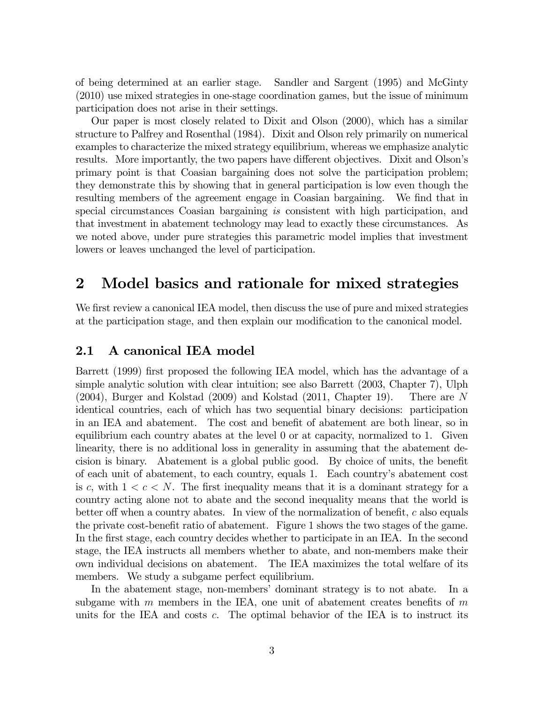of being determined at an earlier stage. Sandler and Sargent (1995) and McGinty (2010) use mixed strategies in one-stage coordination games, but the issue of minimum participation does not arise in their settings.

Our paper is most closely related to Dixit and Olson (2000), which has a similar structure to Palfrey and Rosenthal (1984). Dixit and Olson rely primarily on numerical examples to characterize the mixed strategy equilibrium, whereas we emphasize analytic results. More importantly, the two papers have different objectives. Dixit and Olson's primary point is that Coasian bargaining does not solve the participation problem; they demonstrate this by showing that in general participation is low even though the resulting members of the agreement engage in Coasian bargaining. We find that in special circumstances Coasian bargaining is consistent with high participation, and that investment in abatement technology may lead to exactly these circumstances. As we noted above, under pure strategies this parametric model implies that investment lowers or leaves unchanged the level of participation.

## 2 Model basics and rationale for mixed strategies

We first review a canonical IEA model, then discuss the use of pure and mixed strategies at the participation stage, and then explain our modification to the canonical model.

#### 2.1 A canonical IEA model

Barrett (1999) first proposed the following IEA model, which has the advantage of a simple analytic solution with clear intuition; see also Barrett (2003, Chapter 7), Ulph  $(2004)$ , Burger and Kolstad  $(2009)$  and Kolstad  $(2011,$  Chapter 19). There are N identical countries, each of which has two sequential binary decisions: participation in an IEA and abatement. The cost and benefit of abatement are both linear, so in equilibrium each country abates at the level 0 or at capacity, normalized to 1. Given linearity, there is no additional loss in generality in assuming that the abatement decision is binary. Abatement is a global public good. By choice of units, the benefit of each unit of abatement, to each country, equals 1. Each country's abatement cost is c, with  $1 < c < N$ . The first inequality means that it is a dominant strategy for a country acting alone not to abate and the second inequality means that the world is better off when a country abates. In view of the normalization of benefit,  $c$  also equals the private cost-benefit ratio of abatement. Figure 1 shows the two stages of the game. In the first stage, each country decides whether to participate in an IEA. In the second stage, the IEA instructs all members whether to abate, and non-members make their own individual decisions on abatement. The IEA maximizes the total welfare of its members. We study a subgame perfect equilibrium.

In the abatement stage, non-members' dominant strategy is to not abate. In a subgame with  $m$  members in the IEA, one unit of abatement creates benefits of  $m$ units for the IEA and costs  $c$ . The optimal behavior of the IEA is to instruct its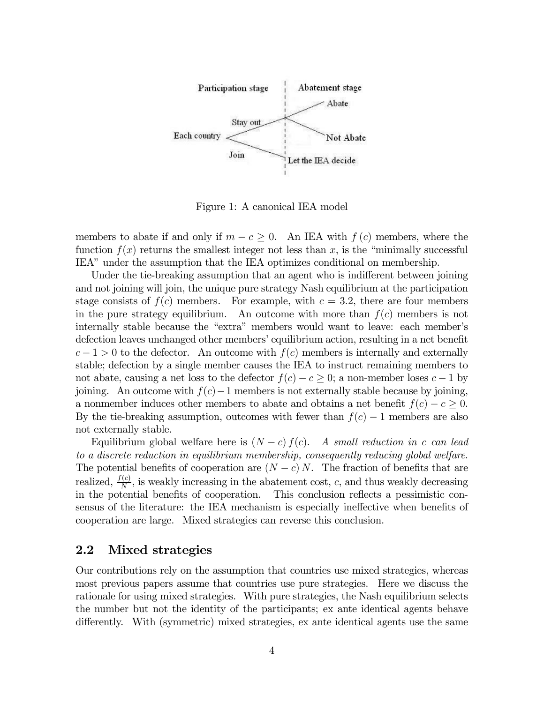

Figure 1: A canonical IEA model

members to abate if and only if  $m - c \geq 0$ . An IEA with  $f(c)$  members, where the function  $f(x)$  returns the smallest integer not less than x, is the "minimally successful IEA" under the assumption that the IEA optimizes conditional on membership.

Under the tie-breaking assumption that an agent who is indifferent between joining and not joining will join, the unique pure strategy Nash equilibrium at the participation stage consists of  $f(c)$  members. For example, with  $c = 3.2$ , there are four members in the pure strategy equilibrium. An outcome with more than  $f(c)$  members is not internally stable because the "extra" members would want to leave: each member's defection leaves unchanged other members' equilibrium action, resulting in a net benefit  $c - 1 > 0$  to the defector. An outcome with  $f(c)$  members is internally and externally stable; defection by a single member causes the IEA to instruct remaining members to not abate, causing a net loss to the defector  $f(c) - c \geq 0$ ; a non-member loses  $c - 1$  by joining. An outcome with  $f(c)-1$  members is not externally stable because by joining, a nonmember induces other members to abate and obtains a net benefit  $f(c) - c \geq 0$ . By the tie-breaking assumption, outcomes with fewer than  $f(c) - 1$  members are also not externally stable.

Equilibrium global welfare here is  $(N - c) f(c)$ . A small reduction in c can lead to a discrete reduction in equilibrium membership, consequently reducing global welfare. The potential benefits of cooperation are  $(N - c) N$ . The fraction of benefits that are realized,  $\frac{f(c)}{N}$ , is weakly increasing in the abatement cost, c, and thus weakly decreasing in the potential benefits of cooperation. This conclusion reflects a pessimistic consensus of the literature: the IEA mechanism is especially ineffective when benefits of cooperation are large. Mixed strategies can reverse this conclusion.

#### 2.2 Mixed strategies

Our contributions rely on the assumption that countries use mixed strategies, whereas most previous papers assume that countries use pure strategies. Here we discuss the rationale for using mixed strategies. With pure strategies, the Nash equilibrium selects the number but not the identity of the participants; ex ante identical agents behave differently. With (symmetric) mixed strategies, ex ante identical agents use the same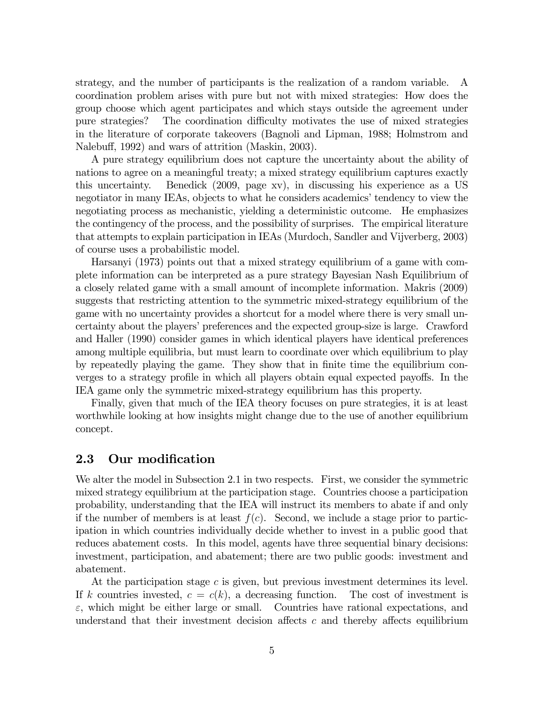strategy, and the number of participants is the realization of a random variable. A coordination problem arises with pure but not with mixed strategies: How does the group choose which agent participates and which stays outside the agreement under pure strategies? The coordination difficulty motivates the use of mixed strategies in the literature of corporate takeovers (Bagnoli and Lipman, 1988; Holmstrom and Nalebuff, 1992) and wars of attrition (Maskin, 2003).

A pure strategy equilibrium does not capture the uncertainty about the ability of nations to agree on a meaningful treaty; a mixed strategy equilibrium captures exactly this uncertainty. Benedick (2009, page xv), in discussing his experience as a US negotiator in many IEAs, objects to what he considers academics' tendency to view the negotiating process as mechanistic, yielding a deterministic outcome. He emphasizes the contingency of the process, and the possibility of surprises. The empirical literature that attempts to explain participation in IEAs (Murdoch, Sandler and Vijverberg, 2003) of course uses a probabilistic model.

Harsanyi (1973) points out that a mixed strategy equilibrium of a game with complete information can be interpreted as a pure strategy Bayesian Nash Equilibrium of a closely related game with a small amount of incomplete information. Makris (2009) suggests that restricting attention to the symmetric mixed-strategy equilibrium of the game with no uncertainty provides a shortcut for a model where there is very small uncertainty about the players' preferences and the expected group-size is large. Crawford and Haller (1990) consider games in which identical players have identical preferences among multiple equilibria, but must learn to coordinate over which equilibrium to play by repeatedly playing the game. They show that in finite time the equilibrium converges to a strategy profile in which all players obtain equal expected payoffs. In the IEA game only the symmetric mixed-strategy equilibrium has this property.

Finally, given that much of the IEA theory focuses on pure strategies, it is at least worthwhile looking at how insights might change due to the use of another equilibrium concept.

#### 2.3 Our modification

We alter the model in Subsection 2.1 in two respects. First, we consider the symmetric mixed strategy equilibrium at the participation stage. Countries choose a participation probability, understanding that the IEA will instruct its members to abate if and only if the number of members is at least  $f(c)$ . Second, we include a stage prior to participation in which countries individually decide whether to invest in a public good that reduces abatement costs. In this model, agents have three sequential binary decisions: investment, participation, and abatement; there are two public goods: investment and abatement.

At the participation stage  $c$  is given, but previous investment determines its level. If k countries invested,  $c = c(k)$ , a decreasing function. The cost of investment is  $\varepsilon$ , which might be either large or small. Countries have rational expectations, and understand that their investment decision affects  $c$  and thereby affects equilibrium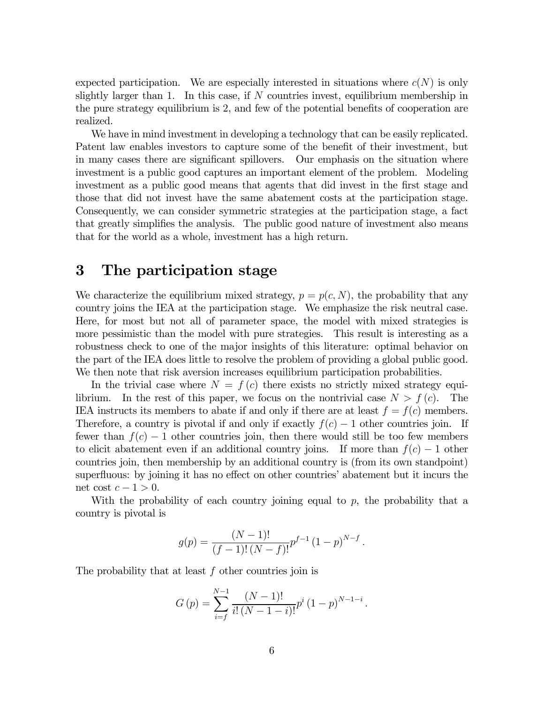expected participation. We are especially interested in situations where  $c(N)$  is only slightly larger than 1. In this case, if  $N$  countries invest, equilibrium membership in the pure strategy equilibrium is 2, and few of the potential benefits of cooperation are realized.

We have in mind investment in developing a technology that can be easily replicated. Patent law enables investors to capture some of the benefit of their investment, but in many cases there are significant spillovers. Our emphasis on the situation where investment is a public good captures an important element of the problem. Modeling investment as a public good means that agents that did invest in the first stage and those that did not invest have the same abatement costs at the participation stage. Consequently, we can consider symmetric strategies at the participation stage, a fact that greatly simplifies the analysis. The public good nature of investment also means that for the world as a whole, investment has a high return.

## 3 The participation stage

We characterize the equilibrium mixed strategy,  $p = p(c, N)$ , the probability that any country joins the IEA at the participation stage. We emphasize the risk neutral case. Here, for most but not all of parameter space, the model with mixed strategies is more pessimistic than the model with pure strategies. This result is interesting as a robustness check to one of the major insights of this literature: optimal behavior on the part of the IEA does little to resolve the problem of providing a global public good. We then note that risk aversion increases equilibrium participation probabilities.

In the trivial case where  $N = f(c)$  there exists no strictly mixed strategy equilibrium. In the rest of this paper, we focus on the nontrivial case  $N > f(c)$ . The IEA instructs its members to abate if and only if there are at least  $f = f(c)$  members. Therefore, a country is pivotal if and only if exactly  $f(c) - 1$  other countries join. If fewer than  $f(c) - 1$  other countries join, then there would still be too few members to elicit abatement even if an additional country joins. If more than  $f(c) - 1$  other countries join, then membership by an additional country is (from its own standpoint) superfluous: by joining it has no effect on other countries' abatement but it incurs the net cost  $c - 1 > 0$ .

With the probability of each country joining equal to  $p$ , the probability that a country is pivotal is

$$
g(p) = \frac{(N-1)!}{(f-1)!(N-f)!} p^{f-1} (1-p)^{N-f}.
$$

The probability that at least  $f$  other countries join is

$$
G(p) = \sum_{i=f}^{N-1} \frac{(N-1)!}{i! (N-1-i)!} p^i (1-p)^{N-1-i}.
$$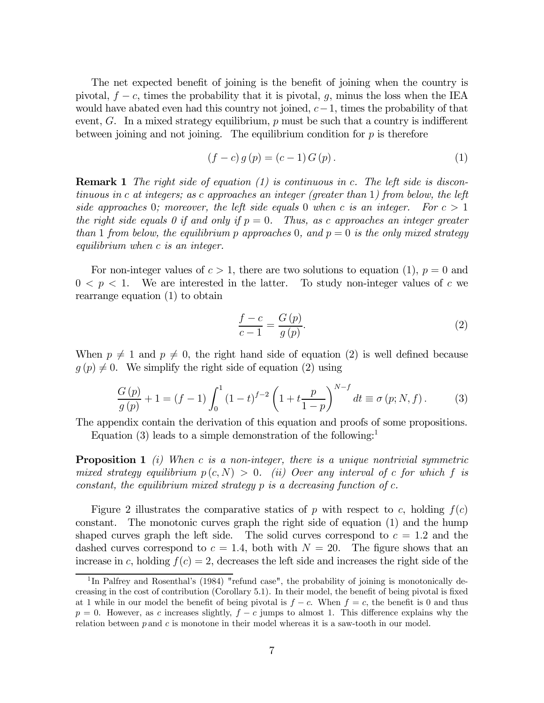The net expected benefit of joining is the benefit of joining when the country is pivotal,  $f - c$ , times the probability that it is pivotal, q, minus the loss when the IEA would have abated even had this country not joined,  $c-1$ , times the probability of that event,  $G$ . In a mixed strategy equilibrium,  $p$  must be such that a country is indifferent between joining and not joining. The equilibrium condition for  $p$  is therefore

$$
(f - c) g (p) = (c - 1) G (p).
$$
 (1)

**Remark 1** The right side of equation  $(1)$  is continuous in c. The left side is discontinuous in  $c$  at integers; as  $c$  approaches an integer (greater than  $1$ ) from below, the left side approaches 0; moreover, the left side equals 0 when c is an integer. For  $c > 1$ the right side equals 0 if and only if  $p = 0$ . Thus, as c approaches an integer greater than 1 from below, the equilibrium p approaches 0, and  $p = 0$  is the only mixed strategy  $equilibrium$  when  $c$  is an integer.

For non-integer values of  $c > 1$ , there are two solutions to equation (1),  $p = 0$  and  $0 < p < 1$ . We are interested in the latter. To study non-integer values of c we rearrange equation (1) to obtain

$$
\frac{f-c}{c-1} = \frac{G(p)}{g(p)}.\t(2)
$$

When  $p \neq 1$  and  $p \neq 0$ , the right hand side of equation (2) is well defined because  $g(p) \neq 0$ . We simplify the right side of equation (2) using

$$
\frac{G(p)}{g(p)} + 1 = (f - 1) \int_0^1 (1 - t)^{f - 2} \left( 1 + t \frac{p}{1 - p} \right)^{N - f} dt \equiv \sigma(p; N, f).
$$
 (3)

The appendix contain the derivation of this equation and proofs of some propositions. Equation (3) leads to a simple demonstration of the following:<sup>1</sup>

**Proposition 1** (i) When c is a non-integer, there is a unique nontrivial symmetric mixed strategy equilibrium  $p(c, N) > 0$ . (ii) Over any interval of c for which f is constant, the equilibrium mixed strategy  $p$  is a decreasing function of  $c$ .

Figure 2 illustrates the comparative statics of p with respect to c, holding  $f(c)$ constant. The monotonic curves graph the right side of equation (1) and the hump shaped curves graph the left side. The solid curves correspond to  $c = 1.2$  and the dashed curves correspond to  $c = 1.4$ , both with  $N = 20$ . The figure shows that an increase in c, holding  $f(c)=2$ , decreases the left side and increases the right side of the

<sup>&</sup>lt;sup>1</sup>In Palfrey and Rosenthal's (1984) "refund case", the probability of joining is monotonically decreasing in the cost of contribution (Corollary 5.1). In their model, the benefit of being pivotal is fixed at 1 while in our model the benefit of being pivotal is  $f - c$ . When  $f = c$ , the benefit is 0 and thus  $p = 0$ . However, as c increases slightly,  $f - c$  jumps to almost 1. This difference explains why the relation between  $p$  and  $c$  is monotone in their model whereas it is a saw-tooth in our model.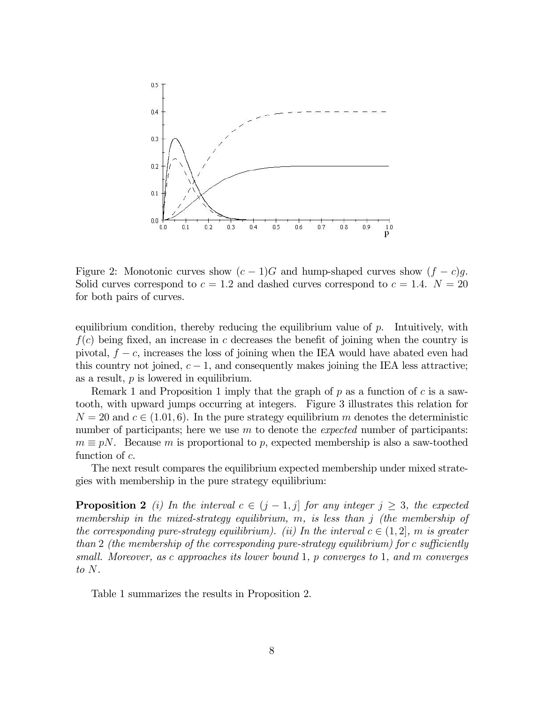

Figure 2: Monotonic curves show  $(c-1)G$  and hump-shaped curves show  $(f - c)g$ . Solid curves correspond to  $c = 1.2$  and dashed curves correspond to  $c = 1.4$ .  $N = 20$ for both pairs of curves.

equilibrium condition, thereby reducing the equilibrium value of  $p$ . Intuitively, with  $f(c)$  being fixed, an increase in c decreases the benefit of joining when the country is pivotal,  $f - c$ , increases the loss of joining when the IEA would have abated even had this country not joined,  $c - 1$ , and consequently makes joining the IEA less attractive; as a result,  $p$  is lowered in equilibrium.

Remark 1 and Proposition 1 imply that the graph of  $p$  as a function of  $c$  is a sawtooth, with upward jumps occurring at integers. Figure 3 illustrates this relation for  $N = 20$  and  $c \in (1.01, 6)$ . In the pure strategy equilibrium m denotes the deterministic number of participants; here we use  $m$  to denote the *expected* number of participants:  $m \equiv pN$ . Because m is proportional to p, expected membership is also a saw-toothed function of  $c$ .

The next result compares the equilibrium expected membership under mixed strategies with membership in the pure strategy equilibrium:

**Proposition 2** (i) In the interval  $c \in (j-1, j]$  for any integer  $j \geq 3$ , the expected membership in the mixed-strategy equilibrium, m, is less than  $j$  (the membership of the corresponding pure-strategy equilibrium). (ii) In the interval  $c \in (1,2]$ , m is greater than 2 (the membership of the corresponding pure-strategy equilibrium) for  $c$  sufficiently small. Moreover, as c approaches its lower bound  $1, p$  converges to  $1, and m$  converges to  $N$ .

Table 1 summarizes the results in Proposition 2.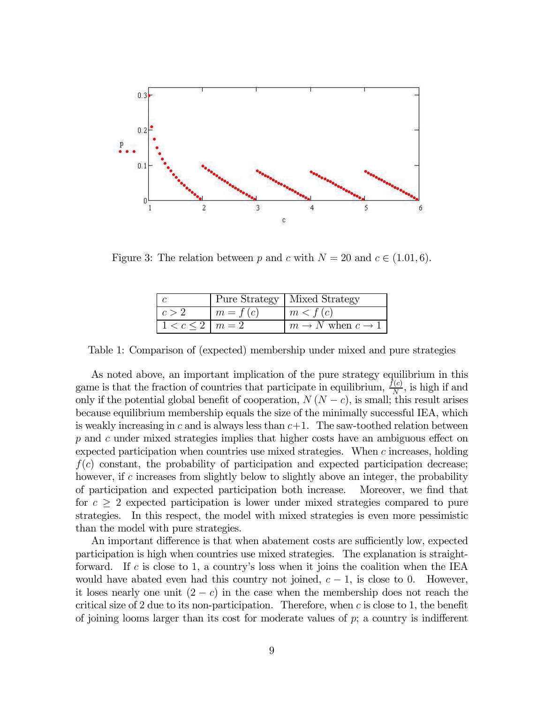

Figure 3: The relation between p and c with  $N = 20$  and  $c \in (1.01, 6)$ .

|                                    |            | Pure Strategy   Mixed Strategy           |
|------------------------------------|------------|------------------------------------------|
| c > 2                              | $m = f(c)$ | $\mid m < f(c)\mid$                      |
| $1 < c \leq 2 \mid \overline{m=2}$ |            | $m \rightarrow N$ when $c \rightarrow 1$ |

Table 1: Comparison of (expected) membership under mixed and pure strategies

As noted above, an important implication of the pure strategy equilibrium in this game is that the fraction of countries that participate in equilibrium,  $\frac{f(c)}{N}$ , is high if and only if the potential global benefit of cooperation,  $N(N - c)$ , is small; this result arises because equilibrium membership equals the size of the minimally successful IEA, which is weakly increasing in  $c$  and is always less than  $c+1$ . The saw-toothed relation between  $p$  and  $c$  under mixed strategies implies that higher costs have an ambiguous effect on expected participation when countries use mixed strategies. When  $c$  increases, holding  $f(c)$  constant, the probability of participation and expected participation decrease; however, if  $c$  increases from slightly below to slightly above an integer, the probability of participation and expected participation both increase. Moreover, we find that for  $c \geq 2$  expected participation is lower under mixed strategies compared to pure strategies. In this respect, the model with mixed strategies is even more pessimistic than the model with pure strategies.

An important difference is that when abatement costs are sufficiently low, expected participation is high when countries use mixed strategies. The explanation is straightforward. If  $c$  is close to 1, a country's loss when it joins the coalition when the IEA would have abated even had this country not joined,  $c - 1$ , is close to 0. However, it loses nearly one unit  $(2 - c)$  in the case when the membership does not reach the critical size of 2 due to its non-participation. Therefore, when  $c$  is close to 1, the benefit of joining looms larger than its cost for moderate values of  $p$ ; a country is indifferent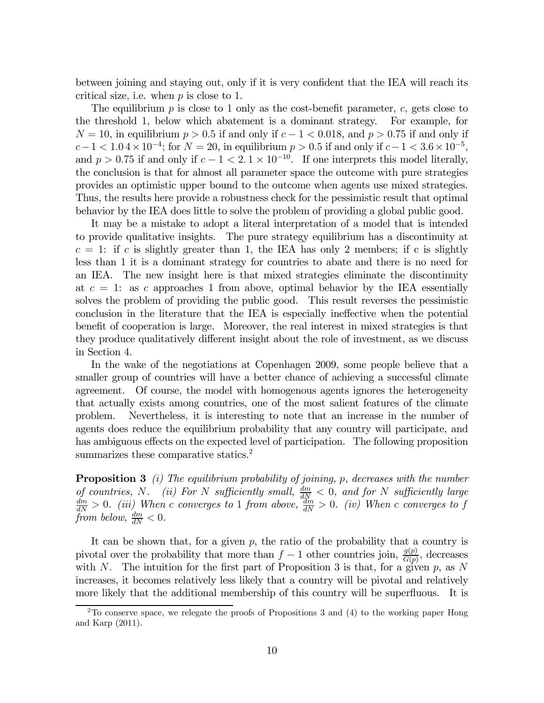between joining and staying out, only if it is very confident that the IEA will reach its critical size, i.e. when  $p$  is close to 1.

The equilibrium  $p$  is close to 1 only as the cost-benefit parameter, c, gets close to the threshold 1, below which abatement is a dominant strategy. For example, for  $N = 10$ , in equilibrium  $p > 0.5$  if and only if  $c - 1 < 0.018$ , and  $p > 0.75$  if and only if  $c-1 < 1.04 \times 10^{-4}$ ; for  $N = 20$ , in equilibrium  $p > 0.5$  if and only if  $c-1 < 3.6 \times 10^{-5}$ , and  $p > 0.75$  if and only if  $c - 1 < 2.1 \times 10^{-10}$ . If one interprets this model literally, the conclusion is that for almost all parameter space the outcome with pure strategies provides an optimistic upper bound to the outcome when agents use mixed strategies. Thus, the results here provide a robustness check for the pessimistic result that optimal behavior by the IEA does little to solve the problem of providing a global public good.

It may be a mistake to adopt a literal interpretation of a model that is intended to provide qualitative insights. The pure strategy equilibrium has a discontinuity at  $c = 1$ : if c is slightly greater than 1, the IEA has only 2 members; if c is slightly less than 1 it is a dominant strategy for countries to abate and there is no need for an IEA. The new insight here is that mixed strategies eliminate the discontinuity at  $c = 1$ : as c approaches 1 from above, optimal behavior by the IEA essentially solves the problem of providing the public good. This result reverses the pessimistic conclusion in the literature that the IEA is especially ineffective when the potential benefit of cooperation is large. Moreover, the real interest in mixed strategies is that they produce qualitatively different insight about the role of investment, as we discuss in Section 4.

In the wake of the negotiations at Copenhagen 2009, some people believe that a smaller group of countries will have a better chance of achieving a successful climate agreement. Of course, the model with homogenous agents ignores the heterogeneity that actually exists among countries, one of the most salient features of the climate problem. Nevertheless, it is interesting to note that an increase in the number of agents does reduce the equilibrium probability that any country will participate, and has ambiguous effects on the expected level of participation. The following proposition summarizes these comparative statics.<sup>2</sup>

**Proposition 3** (i) The equilibrium probability of joining, p, decreases with the number of countries, N. (ii) For N sufficiently small,  $\frac{dm}{dN} < 0$ , and for N sufficiently large  $\frac{dm}{dN} > 0$ . (iii) When c converges to 1 from above,  $\frac{dm}{dN} > 0$ . (iv) When c converges to f from below,  $\frac{dm}{dN} < 0$ .

It can be shown that, for a given  $p$ , the ratio of the probability that a country is pivotal over the probability that more than  $f-1$  other countries join,  $\frac{g(p)}{G(p)}$ , decreases with N. The intuition for the first part of Proposition 3 is that, for a given  $p$ , as N increases, it becomes relatively less likely that a country will be pivotal and relatively more likely that the additional membership of this country will be superfluous. It is

<sup>&</sup>lt;sup>2</sup>To conserve space, we relegate the proofs of Propositions 3 and  $(4)$  to the working paper Hong and Karp (2011).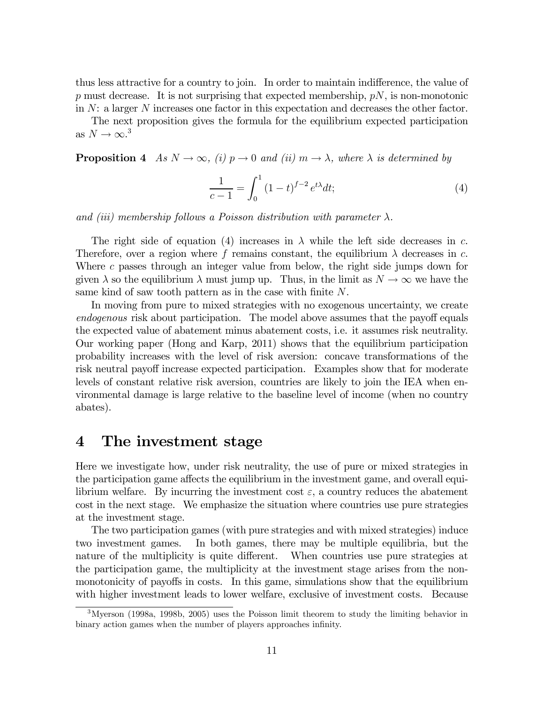thus less attractive for a country to join. In order to maintain indifference, the value of p must decrease. It is not surprising that expected membership,  $pN$ , is non-monotonic in  $N$ : a larger  $N$  increases one factor in this expectation and decreases the other factor.

The next proposition gives the formula for the equilibrium expected participation as  $N \to \infty$ .<sup>3</sup>

**Proposition 4** As  $N \to \infty$ , (i)  $p \to 0$  and (ii)  $m \to \lambda$ , where  $\lambda$  is determined by

$$
\frac{1}{c-1} = \int_0^1 (1-t)^{f-2} e^{t\lambda} dt; \tag{4}
$$

and (iii) membership follows a Poisson distribution with parameter  $\lambda$ .

The right side of equation (4) increases in  $\lambda$  while the left side decreases in c. Therefore, over a region where f remains constant, the equilibrium  $\lambda$  decreases in c. Where  $c$  passes through an integer value from below, the right side jumps down for given  $\lambda$  so the equilibrium  $\lambda$  must jump up. Thus, in the limit as  $N \to \infty$  we have the same kind of saw tooth pattern as in the case with finite  $N$ .

In moving from pure to mixed strategies with no exogenous uncertainty, we create endogenous risk about participation. The model above assumes that the payoff equals the expected value of abatement minus abatement costs, i.e. it assumes risk neutrality. Our working paper (Hong and Karp, 2011) shows that the equilibrium participation probability increases with the level of risk aversion: concave transformations of the risk neutral payoff increase expected participation. Examples show that for moderate levels of constant relative risk aversion, countries are likely to join the IEA when environmental damage is large relative to the baseline level of income (when no country abates).

#### 4 The investment stage

Here we investigate how, under risk neutrality, the use of pure or mixed strategies in the participation game affects the equilibrium in the investment game, and overall equilibrium welfare. By incurring the investment cost  $\varepsilon$ , a country reduces the abatement cost in the next stage. We emphasize the situation where countries use pure strategies at the investment stage.

The two participation games (with pure strategies and with mixed strategies) induce two investment games. In both games, there may be multiple equilibria, but the nature of the multiplicity is quite different. When countries use pure strategies at the participation game, the multiplicity at the investment stage arises from the nonmonotonicity of payoffs in costs. In this game, simulations show that the equilibrium with higher investment leads to lower welfare, exclusive of investment costs. Because

 $3$ Myerson (1998a, 1998b, 2005) uses the Poisson limit theorem to study the limiting behavior in binary action games when the number of players approaches infinity.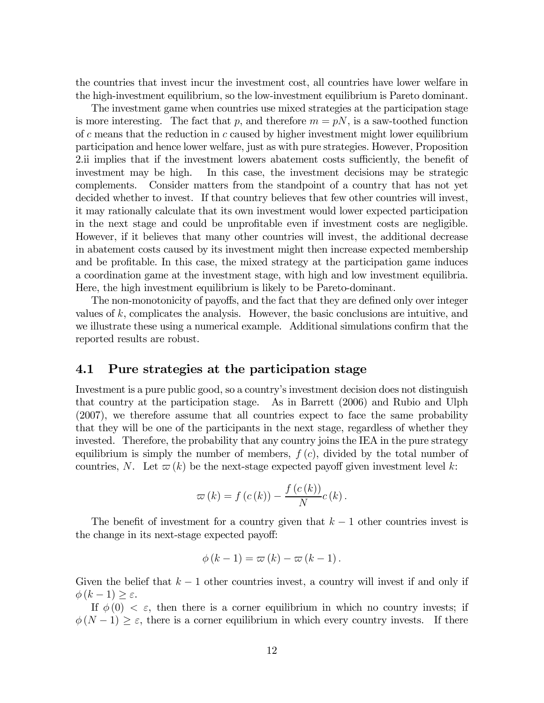the countries that invest incur the investment cost, all countries have lower welfare in the high-investment equilibrium, so the low-investment equilibrium is Pareto dominant.

The investment game when countries use mixed strategies at the participation stage is more interesting. The fact that p, and therefore  $m = pN$ , is a saw-toothed function of  $c$  means that the reduction in  $c$  caused by higher investment might lower equilibrium participation and hence lower welfare, just as with pure strategies. However, Proposition 2.ii implies that if the investment lowers abatement costs sufficiently, the benefit of investment may be high. In this case, the investment decisions may be strategic complements. Consider matters from the standpoint of a country that has not yet decided whether to invest. If that country believes that few other countries will invest, it may rationally calculate that its own investment would lower expected participation in the next stage and could be unprofitable even if investment costs are negligible. However, if it believes that many other countries will invest, the additional decrease in abatement costs caused by its investment might then increase expected membership and be profitable. In this case, the mixed strategy at the participation game induces a coordination game at the investment stage, with high and low investment equilibria. Here, the high investment equilibrium is likely to be Pareto-dominant.

The non-monotonicity of payoffs, and the fact that they are defined only over integer values of  $k$ , complicates the analysis. However, the basic conclusions are intuitive, and we illustrate these using a numerical example. Additional simulations confirm that the reported results are robust.

#### 4.1 Pure strategies at the participation stage

Investment is a pure public good, so a country's investment decision does not distinguish that country at the participation stage. As in Barrett (2006) and Rubio and Ulph (2007), we therefore assume that all countries expect to face the same probability that they will be one of the participants in the next stage, regardless of whether they invested. Therefore, the probability that any country joins the IEA in the pure strategy equilibrium is simply the number of members,  $f(c)$ , divided by the total number of countries, N. Let  $\varpi(k)$  be the next-stage expected payoff given investment level k:

$$
\varpi(k) = f(c(k)) - \frac{f(c(k))}{N}c(k).
$$

The benefit of investment for a country given that  $k-1$  other countries invest is the change in its next-stage expected payoff:

$$
\phi(k-1) = \varpi(k) - \varpi(k-1).
$$

Given the belief that  $k-1$  other countries invest, a country will invest if and only if  $\phi (k-1) \geq \varepsilon.$ 

If  $\phi(0) < \varepsilon$ , then there is a corner equilibrium in which no country invests; if  $\phi(N-1) \geq \varepsilon$ , there is a corner equilibrium in which every country invests. If there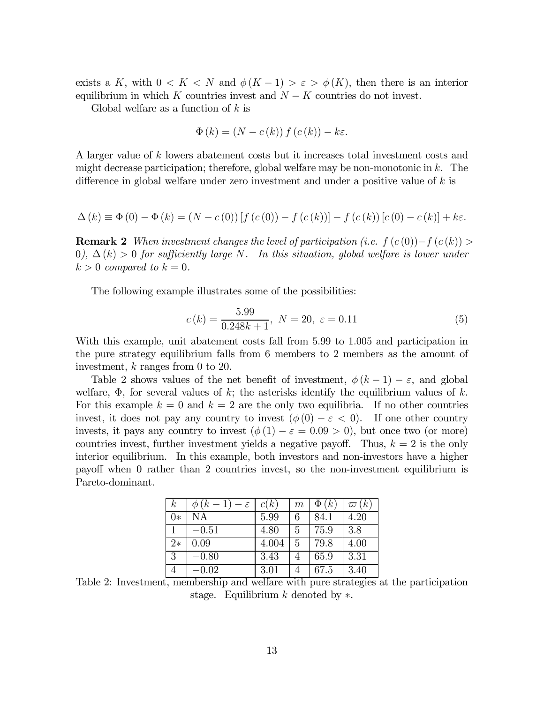exists a K, with  $0 < K < N$  and  $\phi (K - 1) > \varepsilon > \phi (K)$ , then there is an interior equilibrium in which K countries invest and  $N - K$  countries do not invest.

Global welfare as a function of  $k$  is

$$
\Phi(k) = (N - c(k)) f(c(k)) - k\varepsilon.
$$

A larger value of k lowers abatement costs but it increases total investment costs and might decrease participation; therefore, global welfare may be non-monotonic in  $k$ . The difference in global welfare under zero investment and under a positive value of  $k$  is

$$
\Delta(k) \equiv \Phi(0) - \Phi(k) = (N - c(0)) [f(c(0)) - f(c(k))] - f(c(k)) [c(0) - c(k)] + k\varepsilon.
$$

**Remark 2** When investment changes the level of participation (i.e.  $f(c(0)) - f(c(k)) >$ 0),  $\Delta(k) > 0$  for sufficiently large N. In this situation, global welfare is lower under  $k > 0$  compared to  $k = 0$ .

The following example illustrates some of the possibilities:

$$
c(k) = \frac{5.99}{0.248k + 1}, \ N = 20, \ \varepsilon = 0.11 \tag{5}
$$

With this example, unit abatement costs fall from 5.99 to 1.005 and participation in the pure strategy equilibrium falls from 6 members to 2 members as the amount of investment,  $k$  ranges from 0 to 20.

Table 2 shows values of the net benefit of investment,  $\phi (k-1) - \varepsilon$ , and global welfare,  $\Phi$ , for several values of k; the asterisks identify the equilibrium values of k. For this example  $k = 0$  and  $k = 2$  are the only two equilibria. If no other countries invest, it does not pay any country to invest  $(\phi(0) - \varepsilon < 0)$ . If one other country invests, it pays any country to invest  $(\phi(1) - \varepsilon = 0.09 > 0)$ , but once two (or more) countries invest, further investment yields a negative payoff. Thus,  $k = 2$  is the only interior equilibrium. In this example, both investors and non-investors have a higher payoff when 0 rather than 2 countries invest, so the non-investment equilibrium is Pareto-dominant.

| $\kappa$ | $\phi(k-1)-\varepsilon$ | c(k)                             | m | $\Phi(k)$ | $\varpi(k)$ |
|----------|-------------------------|----------------------------------|---|-----------|-------------|
| 0∗       | ΝA                      | 5.99                             |   | 84.1      | 4.20        |
|          | $-0.51$                 | 4.80                             | 5 | 75.9      | 3.8         |
| $2*$     | 0.09                    | 4.004                            | 5 | 79.8      | 4.00        |
| 3        | $-0.80$                 | 3.43                             |   | 65.9      | 3.31        |
|          | $-0.02$                 | 3.01<br>$\overline{\phantom{a}}$ |   | 67.5      | 3.40        |

Table 2: Investment, membership and welfare with pure strategies at the participation stage. Equilibrium  $k$  denoted by  $\ast$ .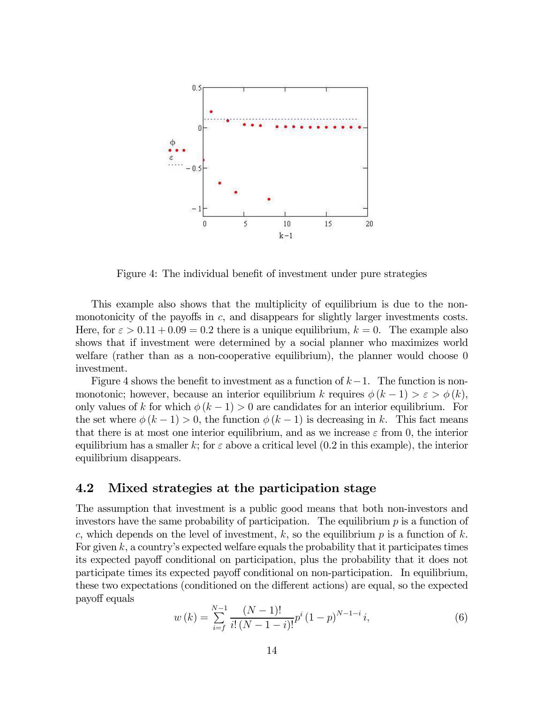

Figure 4: The individual benefit of investment under pure strategies

This example also shows that the multiplicity of equilibrium is due to the nonmonotonicity of the payoffs in  $c$ , and disappears for slightly larger investments costs. Here, for  $\varepsilon > 0.11 + 0.09 = 0.2$  there is a unique equilibrium,  $k = 0$ . The example also shows that if investment were determined by a social planner who maximizes world welfare (rather than as a non-cooperative equilibrium), the planner would choose 0 investment.

Figure 4 shows the benefit to investment as a function of  $k-1$ . The function is nonmonotonic; however, because an interior equilibrium k requires  $\phi(k-1) > \varepsilon > \phi(k)$ , only values of k for which  $\phi (k-1) > 0$  are candidates for an interior equilibrium. For the set where  $\phi (k-1) > 0$ , the function  $\phi (k-1)$  is decreasing in k. This fact means that there is at most one interior equilibrium, and as we increase  $\varepsilon$  from 0, the interior equilibrium has a smaller k; for  $\varepsilon$  above a critical level (0.2 in this example), the interior equilibrium disappears.

#### 4.2 Mixed strategies at the participation stage

The assumption that investment is a public good means that both non-investors and investors have the same probability of participation. The equilibrium  $p$  is a function of c, which depends on the level of investment,  $k$ , so the equilibrium  $p$  is a function of  $k$ . For given  $k$ , a country's expected welfare equals the probability that it participates times its expected payoff conditional on participation, plus the probability that it does not participate times its expected payoff conditional on non-participation. In equilibrium, these two expectations (conditioned on the different actions) are equal, so the expected payoff equals

$$
w(k) = \sum_{i=f}^{N-1} \frac{(N-1)!}{i! (N-1-i)!} p^i (1-p)^{N-1-i} i,
$$
\n(6)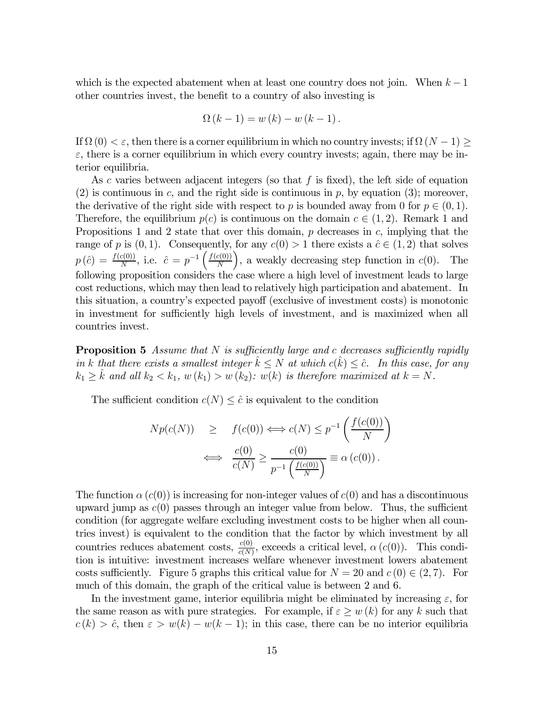which is the expected abatement when at least one country does not join. When  $k-1$ other countries invest, the benefit to a country of also investing is

$$
\Omega(k-1) = w(k) - w(k-1).
$$

If  $\Omega(0) < \varepsilon$ , then there is a corner equilibrium in which no country invests; if  $\Omega(N-1) \ge$  $\varepsilon$ , there is a corner equilibrium in which every country invests; again, there may be interior equilibria.

As  $c$  varies between adjacent integers (so that  $f$  is fixed), the left side of equation (2) is continuous in c, and the right side is continuous in  $p$ , by equation (3); moreover, the derivative of the right side with respect to p is bounded away from 0 for  $p \in (0,1)$ . Therefore, the equilibrium  $p(c)$  is continuous on the domain  $c \in (1, 2)$ . Remark 1 and Propositions 1 and 2 state that over this domain,  $p$  decreases in  $c$ , implying that the range of p is  $(0, 1)$ . Consequently, for any  $c(0) > 1$  there exists a  $\hat{c} \in (1, 2)$  that solves  $p(\hat{c}) = \frac{f(c(0))}{N}$ , i.e.  $\hat{c} = p^{-1} \left( \frac{f(c(0))}{N} \right)$  $\boldsymbol{N}$ ), a weakly decreasing step function in  $c(0)$ . The following proposition considers the case where a high level of investment leads to large cost reductions, which may then lead to relatively high participation and abatement. In this situation, a country's expected payoff (exclusive of investment costs) is monotonic in investment for sufficiently high levels of investment, and is maximized when all countries invest.

**Proposition 5** Assume that  $N$  is sufficiently large and  $c$  decreases sufficiently rapidly in k that there exists a smallest integer  $\hat{k} \leq N$  at which  $c(\hat{k}) \leq \hat{c}$ . In this case, for any  $k_1 \geq \hat{k}$  and all  $k_2 < k_1$ ,  $w(k_1) > w(k_2)$ :  $w(k)$  is therefore maximized at  $k = N$ .

The sufficient condition  $c(N) \leq \hat{c}$  is equivalent to the condition

$$
Np(c(N)) \geq f(c(0)) \Longleftrightarrow c(N) \leq p^{-1} \left( \frac{f(c(0))}{N} \right)
$$

$$
\Longleftrightarrow \frac{c(0)}{c(N)} \geq \frac{c(0)}{p^{-1} \left( \frac{f(c(0))}{N} \right)} \equiv \alpha (c(0)).
$$

The function  $\alpha(c(0))$  is increasing for non-integer values of  $c(0)$  and has a discontinuous upward jump as  $c(0)$  passes through an integer value from below. Thus, the sufficient condition (for aggregate welfare excluding investment costs to be higher when all countries invest) is equivalent to the condition that the factor by which investment by all countries reduces abatement costs,  $\frac{c(0)}{c(N)}$ , exceeds a critical level,  $\alpha(c(0))$ . This condition is intuitive: investment increases welfare whenever investment lowers abatement costs sufficiently. Figure 5 graphs this critical value for  $N = 20$  and  $c(0) \in (2, 7)$ . For much of this domain, the graph of the critical value is between 2 and 6.

In the investment game, interior equilibria might be eliminated by increasing  $\varepsilon$ , for the same reason as with pure strategies. For example, if  $\varepsilon \geq w(k)$  for any k such that  $c(k) > \hat{c}$ , then  $\varepsilon > w(k) - w(k-1)$ ; in this case, there can be no interior equilibria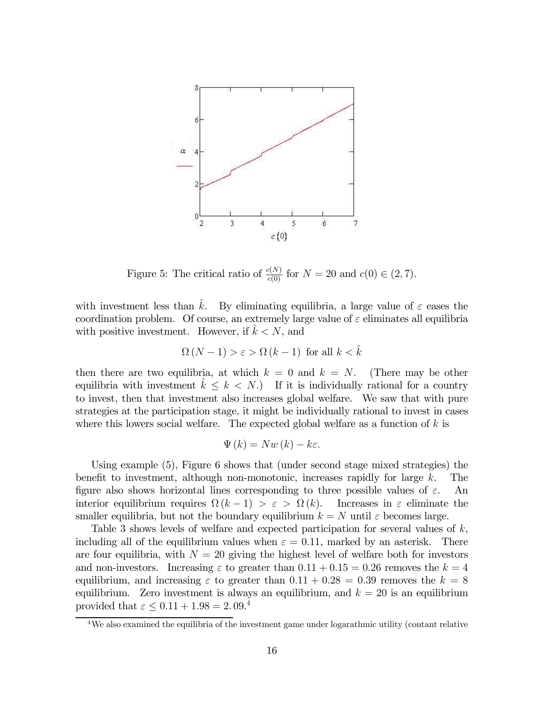

Figure 5: The critical ratio of  $\frac{c(N)}{c(0)}$  for  $N = 20$  and  $c(0) \in (2, 7)$ .

with investment less than  $\hat{k}$ . By eliminating equilibria, a large value of  $\varepsilon$  eases the coordination problem. Of course, an extremely large value of  $\varepsilon$  eliminates all equilibria with positive investment. However, if  $\hat{k} < N$ , and

$$
\Omega\left(N-1\right) > \varepsilon > \Omega\left(k-1\right) \text{ for all } k < \hat{k}
$$

then there are two equilibria, at which  $k = 0$  and  $k = N$ . (There may be other equilibria with investment  $\hat{k} \leq k \leq N$ .) If it is individually rational for a country to invest, then that investment also increases global welfare. We saw that with pure strategies at the participation stage, it might be individually rational to invest in cases where this lowers social welfare. The expected global welfare as a function of  $k$  is

$$
\Psi(k) = Nw(k) - k\varepsilon.
$$

Using example (5), Figure 6 shows that (under second stage mixed strategies) the benefit to investment, although non-monotonic, increases rapidly for large  $k$ . The figure also shows horizontal lines corresponding to three possible values of  $\varepsilon$ . An interior equilibrium requires  $\Omega(k-1) > \varepsilon > \Omega(k)$ . Increases in  $\varepsilon$  eliminate the smaller equilibria, but not the boundary equilibrium  $k = N$  until  $\varepsilon$  becomes large.

Table 3 shows levels of welfare and expected participation for several values of  $k$ , including all of the equilibrium values when  $\varepsilon = 0.11$ , marked by an asterisk. There are four equilibria, with  $N = 20$  giving the highest level of welfare both for investors and non-investors. Increasing  $\varepsilon$  to greater than  $0.11 + 0.15 = 0.26$  removes the  $k = 4$ equilibrium, and increasing  $\varepsilon$  to greater than  $0.11 + 0.28 = 0.39$  removes the  $k = 8$ equilibrium. Zero investment is always an equilibrium, and  $k = 20$  is an equilibrium provided that  $\varepsilon \leq 0.11 + 1.98 = 2.09$ .<sup>4</sup>

<sup>&</sup>lt;sup>4</sup>We also examined the equilibria of the investment game under logarathmic utility (contant relative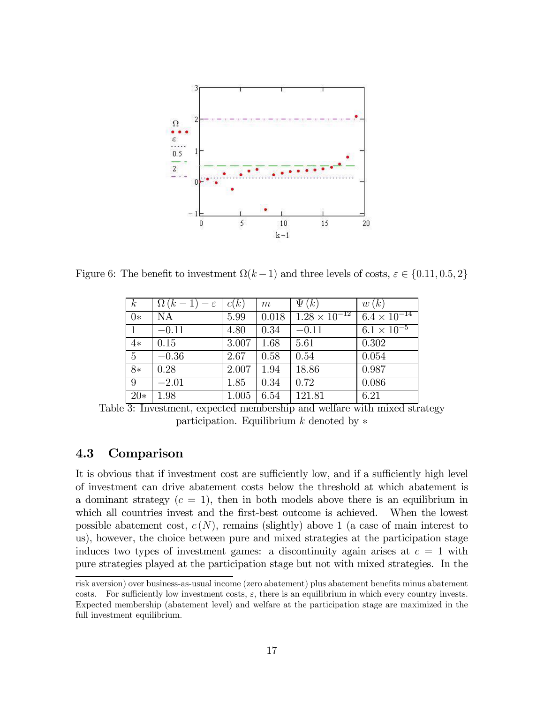

Figure 6: The benefit to investment  $\Omega(k-1)$  and three levels of costs,  $\varepsilon \in \{0.11, 0.5, 2\}$ 

| $\boldsymbol{k}$       | $\Omega(k-1)-\varepsilon$ | c(k)  | m                               | $\Psi(k)$                | w(k)                  |
|------------------------|---------------------------|-------|---------------------------------|--------------------------|-----------------------|
| $0*$                   | NA                        | 5.99  | 0.018                           | $1.28 \times 10^{-12}$   | $6.4 \times 10^{-14}$ |
| $\cdot$ 1 $\cdot$      | $-0.11$                   | 4.80  | 0.34                            | $-0.11$                  | $6.1 \times 10^{-5}$  |
| $4*$                   | 0.15                      | 3.007 | 1.68                            | 5.61                     | 0.302                 |
| $\overline{5}$         | $-0.36$                   | 2.67  | 0.58                            | 0.54                     | 0.054                 |
| $8*$                   | 0.28                      | 2.007 | 1.94                            | 18.86                    | 0.987                 |
| $\overline{9}$         | $-2.01$                   | 1.85  | 0.34                            | 0.72                     | 0.086                 |
| $20*$<br>$\sim$ $\sim$ | 1.98                      | 1.005 | 6.54<br>$\sim$<br>$\sim$ $\sim$ | 121.81<br>$\overline{a}$ | 6.21<br>$\sim$ $\sim$ |

Table 3: Investment, expected membership and welfare with mixed strategy participation. Equilibrium  $k$  denoted by  $*$ 

### 4.3 Comparison

It is obvious that if investment cost are sufficiently low, and if a sufficiently high level of investment can drive abatement costs below the threshold at which abatement is a dominant strategy  $(c = 1)$ , then in both models above there is an equilibrium in which all countries invest and the first-best outcome is achieved. When the lowest possible abatement cost,  $c(N)$ , remains (slightly) above 1 (a case of main interest to us), however, the choice between pure and mixed strategies at the participation stage induces two types of investment games: a discontinuity again arises at  $c = 1$  with pure strategies played at the participation stage but not with mixed strategies. In the

risk aversion) over business-as-usual income (zero abatement) plus abatement benefits minus abatement costs. For sufficiently low investment costs,  $\varepsilon$ , there is an equilibrium in which every country invests. Expected membership (abatement level) and welfare at the participation stage are maximized in the full investment equilibrium.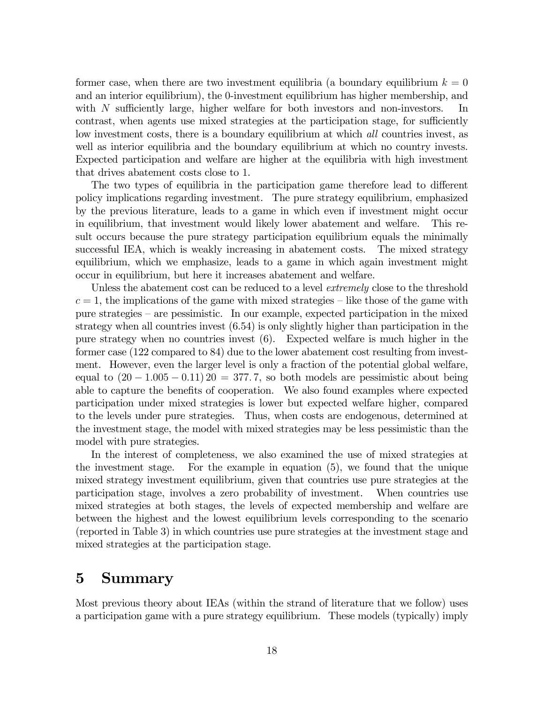former case, when there are two investment equilibria (a boundary equilibrium  $k = 0$ and an interior equilibrium), the 0-investment equilibrium has higher membership, and with  $N$  sufficiently large, higher welfare for both investors and non-investors. In contrast, when agents use mixed strategies at the participation stage, for sufficiently low investment costs, there is a boundary equilibrium at which *all* countries invest, as well as interior equilibria and the boundary equilibrium at which no country invests. Expected participation and welfare are higher at the equilibria with high investment that drives abatement costs close to 1.

The two types of equilibria in the participation game therefore lead to different policy implications regarding investment. The pure strategy equilibrium, emphasized by the previous literature, leads to a game in which even if investment might occur in equilibrium, that investment would likely lower abatement and welfare. This result occurs because the pure strategy participation equilibrium equals the minimally successful IEA, which is weakly increasing in abatement costs. The mixed strategy equilibrium, which we emphasize, leads to a game in which again investment might occur in equilibrium, but here it increases abatement and welfare.

Unless the abatement cost can be reduced to a level *extremely* close to the threshold  $c = 1$ , the implications of the game with mixed strategies – like those of the game with pure strategies — are pessimistic. In our example, expected participation in the mixed strategy when all countries invest (6.54) is only slightly higher than participation in the pure strategy when no countries invest (6). Expected welfare is much higher in the former case (122 compared to 84) due to the lower abatement cost resulting from investment. However, even the larger level is only a fraction of the potential global welfare, equal to  $(20 - 1.005 - 0.11)$   $20 = 377.7$ , so both models are pessimistic about being able to capture the benefits of cooperation. We also found examples where expected participation under mixed strategies is lower but expected welfare higher, compared to the levels under pure strategies. Thus, when costs are endogenous, determined at the investment stage, the model with mixed strategies may be less pessimistic than the model with pure strategies.

In the interest of completeness, we also examined the use of mixed strategies at the investment stage. For the example in equation (5), we found that the unique mixed strategy investment equilibrium, given that countries use pure strategies at the participation stage, involves a zero probability of investment. When countries use mixed strategies at both stages, the levels of expected membership and welfare are between the highest and the lowest equilibrium levels corresponding to the scenario (reported in Table 3) in which countries use pure strategies at the investment stage and mixed strategies at the participation stage.

#### 5 Summary

Most previous theory about IEAs (within the strand of literature that we follow) uses a participation game with a pure strategy equilibrium. These models (typically) imply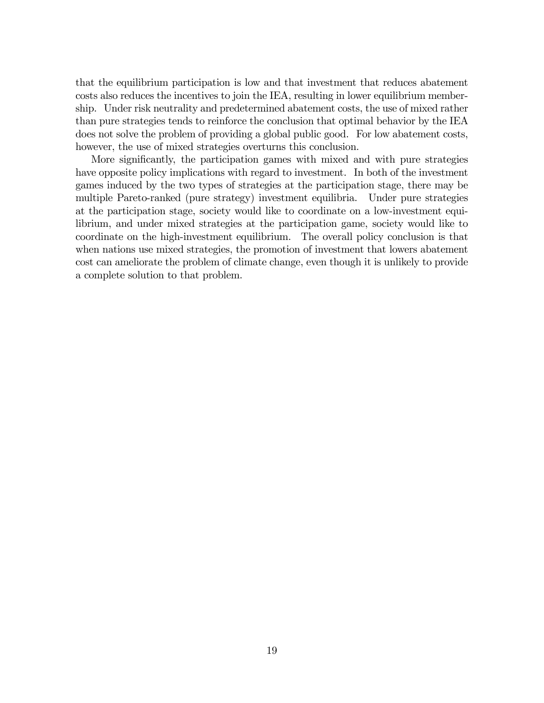that the equilibrium participation is low and that investment that reduces abatement costs also reduces the incentives to join the IEA, resulting in lower equilibrium membership. Under risk neutrality and predetermined abatement costs, the use of mixed rather than pure strategies tends to reinforce the conclusion that optimal behavior by the IEA does not solve the problem of providing a global public good. For low abatement costs, however, the use of mixed strategies overturns this conclusion.

More significantly, the participation games with mixed and with pure strategies have opposite policy implications with regard to investment. In both of the investment games induced by the two types of strategies at the participation stage, there may be multiple Pareto-ranked (pure strategy) investment equilibria. Under pure strategies at the participation stage, society would like to coordinate on a low-investment equilibrium, and under mixed strategies at the participation game, society would like to coordinate on the high-investment equilibrium. The overall policy conclusion is that when nations use mixed strategies, the promotion of investment that lowers abatement cost can ameliorate the problem of climate change, even though it is unlikely to provide a complete solution to that problem.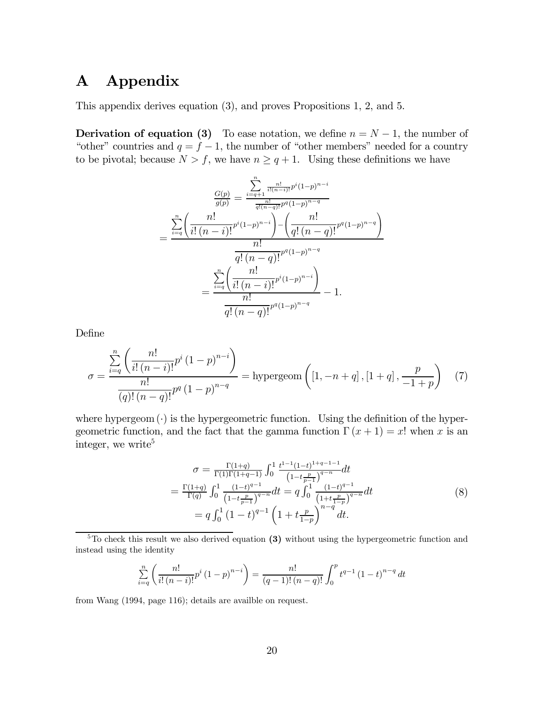## A Appendix

This appendix derives equation (3), and proves Propositions 1, 2, and 5.

**Derivation of equation (3)** To ease notation, we define  $n = N - 1$ , the number of "other" countries and  $q = f - 1$ , the number of "other members" needed for a country to be pivotal; because  $N > f$ , we have  $n \ge q + 1$ . Using these definitions we have

$$
\frac{G(p)}{g(p)} = \frac{\sum_{i=q+1}^{n} \frac{n!}{i!(n-i)!} p^{i} (1-p)^{n-i}}{\frac{n!}{q!(n-q)!} p^{q} (1-p)^{n-q}}
$$
\n
$$
= \frac{\sum_{i=q}^{n} \left(\frac{n!}{i! (n-i)!} p^{i} (1-p)^{n-i}\right) - \left(\frac{n!}{q! (n-q)!} p^{q} (1-p)^{n-q}\right)}{\frac{n!}{q! (n-q)!} p^{q} (1-p)^{n-q}}
$$
\n
$$
= \frac{\sum_{i=q}^{n} \left(\frac{n!}{i! (n-i)!} p^{i} (1-p)^{n-i}\right)}{\frac{n!}{q! (n-q)!} p^{q} (1-p)^{n-q}} - 1.
$$

Define

$$
\sigma = \frac{\sum_{i=q}^{n} \left( \frac{n!}{i! (n-i)!} p^i (1-p)^{n-i} \right)}{\frac{n!}{(q)!(n-q)!} p^q (1-p)^{n-q}} = \text{hypergeom}\left( [1, -n+q], [1+q], \frac{p}{-1+p} \right) \tag{7}
$$

where hypergeom  $(\cdot)$  is the hypergeometric function. Using the definition of the hypergeometric function, and the fact that the gamma function  $\Gamma(x+1) = x!$  when x is an integer, we write<sup>5</sup>

$$
\sigma = \frac{\Gamma(1+q)}{\Gamma(1)\Gamma(1+q-1)} \int_0^1 \frac{t^{1-1}(1-t)^{1+q-1-1}}{(1-t\frac{p}{p-1})^{q-n}} dt
$$
  
\n
$$
= \frac{\Gamma(1+q)}{\Gamma(q)} \int_0^1 \frac{(1-t)^{q-1}}{(1-t\frac{p}{p-1})^{q-n}} dt = q \int_0^1 \frac{(1-t)^{q-1}}{(1+t\frac{p}{1-p})^{q-n}} dt
$$
  
\n
$$
= q \int_0^1 (1-t)^{q-1} \left(1+t\frac{p}{1-p}\right)^{n-q} dt.
$$
\n(8)

 $5T$ o check this result we also derived equation  $(3)$  without using the hypergeometric function and instead using the identity

$$
\sum_{i=q}^{n} \left( \frac{n!}{i!(n-i)!} p^i (1-p)^{n-i} \right) = \frac{n!}{(q-1)!(n-q)!} \int_0^p t^{q-1} (1-t)^{n-q} dt
$$

from Wang (1994, page 116); details are availble on request.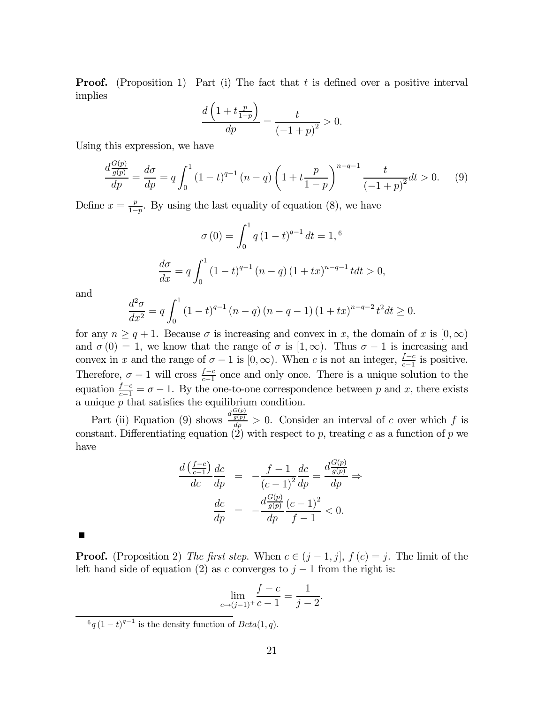**Proof.** (Proposition 1) Part (i) The fact that  $t$  is defined over a positive interval implies

$$
\frac{d\left(1+t\frac{p}{1-p}\right)}{dp} = \frac{t}{(-1+p)^2} > 0.
$$

Using this expression, we have

$$
\frac{d\frac{G(p)}{g(p)}}{dp} = \frac{d\sigma}{dp} = q \int_0^1 (1-t)^{q-1} (n-q) \left(1 + t\frac{p}{1-p}\right)^{n-q-1} \frac{t}{(-1+p)^2} dt > 0.
$$
 (9)

Define  $x = \frac{p}{1-p}$ . By using the last equality of equation (8), we have

$$
\sigma(0) = \int_0^1 q (1-t)^{q-1} dt = 1,^6
$$

$$
\frac{d\sigma}{dx} = q \int_0^1 (1-t)^{q-1} (n-q) (1+tx)^{n-q-1} t dt > 0,
$$

and

$$
\frac{d^2\sigma}{dx^2} = q \int_0^1 (1-t)^{q-1} (n-q) (n-q-1) (1+tx)^{n-q-2} t^2 dt \ge 0.
$$

for any  $n \ge q+1$ . Because  $\sigma$  is increasing and convex in x, the domain of x is  $[0,\infty)$ and  $\sigma(0) = 1$ , we know that the range of  $\sigma$  is [1, $\infty$ ). Thus  $\sigma - 1$  is increasing and convex in x and the range of  $\sigma - 1$  is  $[0, \infty)$ . When c is not an integer,  $\frac{f-c}{c-1}$  is positive. Therefore,  $\sigma - 1$  will cross  $\frac{f-c}{c-1}$  once and only once. There is a unique solution to the equation  $\frac{f-c}{c-1} = \sigma - 1$ . By the one-to-one correspondence between p and x, there exists a unique  $p$  that satisfies the equilibrium condition.

Part (ii) Equation (9) shows  $\frac{d G(p)}{dp} > 0$ . Consider an interval of c over which f is constant. Differentiating equation (2) with respect to  $p$ , treating  $c$  as a function of  $p$  we have

$$
\frac{d\left(\frac{f-c}{c-1}\right)}{dc}\frac{dc}{dp} = -\frac{f-1}{(c-1)^2}\frac{dc}{dp} = \frac{d\frac{G(p)}{g(p)}}{dp} \Rightarrow
$$

$$
\frac{dc}{dp} = -\frac{d\frac{G(p)}{g(p)}}{dp}\frac{(c-1)^2}{f-1} < 0.
$$

 $\blacksquare$ 

**Proof.** (Proposition 2) The first step. When  $c \in (j-1, j]$ ,  $f(c) = j$ . The limit of the left hand side of equation (2) as  $c$  converges to  $j-1$  from the right is:

$$
\lim_{c \to (j-1)^+} \frac{f - c}{c - 1} = \frac{1}{j - 2}.
$$

 $^{6}q(1-t)^{q-1}$  is the density function of  $Beta(1, q)$ .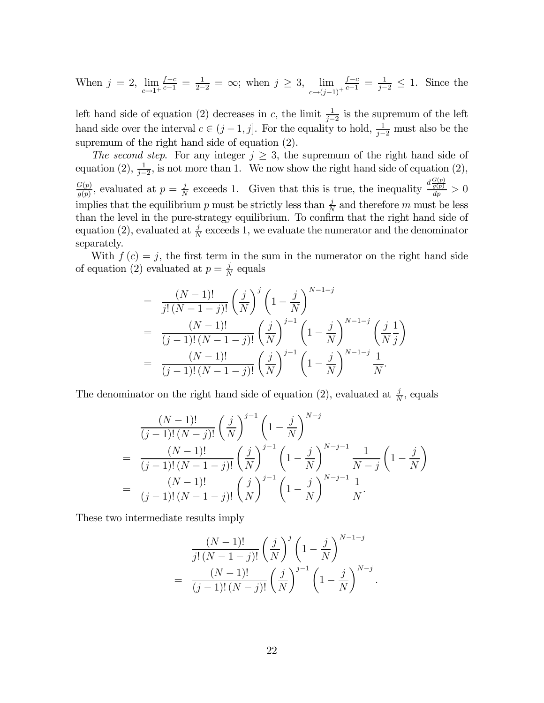When  $j = 2$ ,  $\lim$  $c\rightarrow 1^+$  $\frac{f-c}{c-1} = \frac{1}{2-2} = \infty$ ; when  $j \ge 3$ ,  $\lim_{c \to (j-1)^+} \frac{f-c}{c-1} = \frac{1}{j-2} \le 1$ . Since the

left hand side of equation (2) decreases in c, the limit  $\frac{1}{j-2}$  is the supremum of the left hand side over the interval  $c \in (j-1, j]$ . For the equality to hold,  $\frac{1}{j-2}$  must also be the supremum of the right hand side of equation (2).

The second step. For any integer  $j \geq 3$ , the supremum of the right hand side of equation (2),  $\frac{1}{j-2}$ , is not more than 1. We now show the right hand side of equation (2),  $\frac{G(p)}{g(p)}$ , evaluated at  $p = \frac{j}{N}$  exceeds 1. Given that this is true, the inequality  $\frac{d \frac{G(p)}{g(p)}}{dp} > 0$ implies that the equilibrium  $p$  must be strictly less than  $\frac{j}{N}$  and therefore  $m$  must be less than the level in the pure-strategy equilibrium. To confirm that the right hand side of equation (2), evaluated at  $\frac{j}{N}$  exceeds 1, we evaluate the numerator and the denominator separately.

With  $f(c) = j$ , the first term in the sum in the numerator on the right hand side of equation (2) evaluated at  $p = \frac{j}{N}$  equals

$$
= \frac{(N-1)!}{j!(N-1-j)!} \left(\frac{j}{N}\right)^j \left(1 - \frac{j}{N}\right)^{N-1-j}
$$
  

$$
= \frac{(N-1)!}{(j-1)!(N-1-j)!} \left(\frac{j}{N}\right)^{j-1} \left(1 - \frac{j}{N}\right)^{N-1-j} \left(\frac{j}{N}\right)^j
$$
  

$$
= \frac{(N-1)!}{(j-1)!(N-1-j)!} \left(\frac{j}{N}\right)^{j-1} \left(1 - \frac{j}{N}\right)^{N-1-j} \frac{1}{N}.
$$

The denominator on the right hand side of equation (2), evaluated at  $\frac{j}{N}$ , equals

$$
\frac{(N-1)!}{(j-1)!(N-j)!} \left(\frac{j}{N}\right)^{j-1} \left(1 - \frac{j}{N}\right)^{N-j}
$$
\n
$$
= \frac{(N-1)!}{(j-1)!(N-1-j)!} \left(\frac{j}{N}\right)^{j-1} \left(1 - \frac{j}{N}\right)^{N-j-1} \frac{1}{N-j} \left(1 - \frac{j}{N}\right)
$$
\n
$$
= \frac{(N-1)!}{(j-1)!(N-1-j)!} \left(\frac{j}{N}\right)^{j-1} \left(1 - \frac{j}{N}\right)^{N-j-1} \frac{1}{N}.
$$

These two intermediate results imply

$$
\frac{(N-1)!}{j!\,(N-1-j)!} \left(\frac{j}{N}\right)^j \left(1 - \frac{j}{N}\right)^{N-1-j}
$$
\n
$$
= \frac{(N-1)!}{(j-1)!(N-j)!} \left(\frac{j}{N}\right)^{j-1} \left(1 - \frac{j}{N}\right)^{N-j}.
$$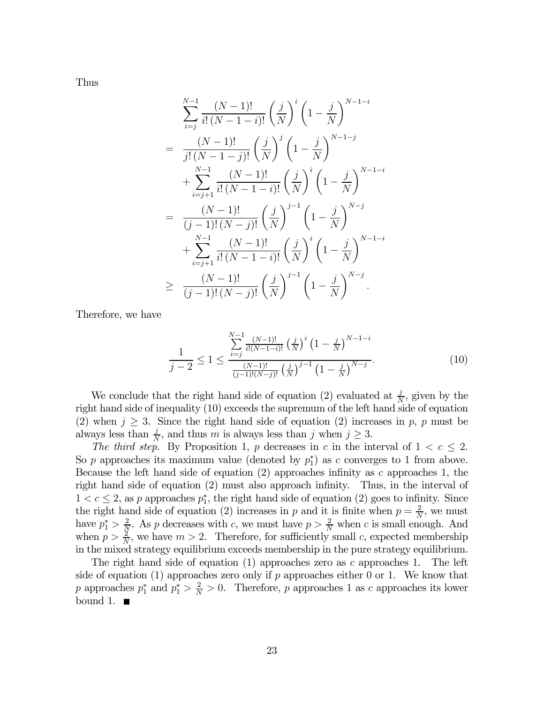Thus

$$
\sum_{i=j}^{N-1} \frac{(N-1)!}{i! (N-1-i)!} \left(\frac{j}{N}\right)^i \left(1 - \frac{j}{N}\right)^{N-1-i}
$$
\n
$$
= \frac{(N-1)!}{j! (N-1-j)!} \left(\frac{j}{N}\right)^j \left(1 - \frac{j}{N}\right)^{N-1-j}
$$
\n
$$
+ \sum_{i=j+1}^{N-1} \frac{(N-1)!}{i! (N-1-i)!} \left(\frac{j}{N}\right)^i \left(1 - \frac{j}{N}\right)^{N-1-i}
$$
\n
$$
= \frac{(N-1)!}{(j-1)! (N-j)!} \left(\frac{j}{N}\right)^{j-1} \left(1 - \frac{j}{N}\right)^{N-j}
$$
\n
$$
+ \sum_{i=j+1}^{N-1} \frac{(N-1)!}{i! (N-1-i)!} \left(\frac{j}{N}\right)^i \left(1 - \frac{j}{N}\right)^{N-1-i}
$$
\n
$$
\geq \frac{(N-1)!}{(j-1)! (N-j)!} \left(\frac{j}{N}\right)^{j-1} \left(1 - \frac{j}{N}\right)^{N-j}
$$

Therefore, we have

$$
\frac{1}{j-2} \le 1 \le \frac{\sum_{i=j}^{N-1} \frac{(N-1)!}{i!(N-1-i)!} \left(\frac{j}{N}\right)^i \left(1 - \frac{j}{N}\right)^{N-1-i}}{\frac{(N-1)!}{(j-1)!(N-j)!} \left(\frac{j}{N}\right)^{j-1} \left(1 - \frac{j}{N}\right)^{N-j}}.
$$
\n(10)

We conclude that the right hand side of equation (2) evaluated at  $\frac{j}{N}$ , given by the right hand side of inequality (10) exceeds the supremum of the left hand side of equation (2) when  $j \geq 3$ . Since the right hand side of equation (2) increases in p, p must be always less than  $\frac{j}{N}$ , and thus *m* is always less than *j* when  $j \ge 3$ .

The third step. By Proposition 1, p decreases in c in the interval of  $1 < c \leq 2$ . So  $p$  approaches its maximum value (denoted by  $p_1^*$ ) as  $c$  converges to 1 from above. Because the left hand side of equation  $(2)$  approaches infinity as c approaches 1, the right hand side of equation (2) must also approach infinity. Thus, in the interval of  $1 < c \leq 2$ , as p approaches  $p_1^*$ , the right hand side of equation (2) goes to infinity. Since the right hand side of equation (2) increases in p and it is finite when  $p = \frac{2}{N}$ , we must have  $p_1^* > \frac{2}{N}$ . As p decreases with c, we must have  $p > \frac{2}{N}$  when c is small enough. And when  $p > \frac{2}{N}$ , we have  $m > 2$ . Therefore, for sufficiently small c, expected membership in the mixed strategy equilibrium exceeds membership in the pure strategy equilibrium.

The right hand side of equation  $(1)$  approaches zero as c approaches 1. The left side of equation (1) approaches zero only if  $p$  approaches either 0 or 1. We know that p approaches  $p_1^*$  and  $p_1^* > \frac{2}{N} > 0$ . Therefore, p approaches 1 as c approaches its lower bound 1.  $\blacksquare$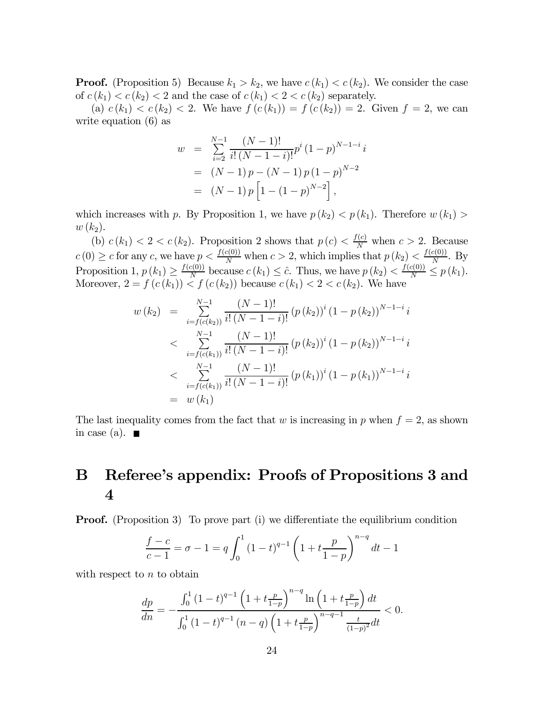**Proof.** (Proposition 5) Because  $k_1 > k_2$ , we have  $c(k_1) < c(k_2)$ . We consider the case of  $c(k_1) < c(k_2) < 2$  and the case of  $c(k_1) < 2 < c(k_2)$  separately.

(a)  $c(k_1) < c(k_2) < 2$ . We have  $f(c(k_1)) = f(c(k_2)) = 2$ . Given  $f = 2$ , we can write equation (6) as

$$
w = \sum_{i=2}^{N-1} \frac{(N-1)!}{i! (N-1-i)!} p^i (1-p)^{N-1-i} i
$$
  
=  $(N-1) p - (N-1) p (1-p)^{N-2}$   
=  $(N-1) p [1 - (1-p)^{N-2}],$ 

which increases with p. By Proposition 1, we have  $p(k_2) < p(k_1)$ . Therefore  $w(k_1) >$  $w(k_2)$ .

(b)  $c(k_1) < 2 < c(k_2)$ . Proposition 2 shows that  $p(c) < \frac{f(c)}{N}$  when  $c > 2$ . Because  $c(0) \geq c$  for any c, we have  $p < \frac{f(c(0))}{N}$  when  $c > 2$ , which implies that  $p(k_2) < \frac{f(c(0))}{N}$ . By Proposition 1,  $p(k_1) \geq \frac{f(c(0))}{N}$  because  $c(k_1) \leq \hat{c}$ . Thus, we have  $p(k_2) < \frac{f(c(0))}{N} \leq p(k_1)$ . Moreover,  $2 = f(c(k_1)) < f(c(k_2))$  because  $c(k_1) < 2 < c(k_2)$ . We have

$$
w(k_2) = \sum_{i=f(c(k_2))}^{N-1} \frac{(N-1)!}{i! (N-1-i)!} (p(k_2))^i (1-p(k_2))^{N-1-i} i
$$
  

$$
< \sum_{i=f(c(k_1))}^{N-1} \frac{(N-1)!}{i! (N-1-i)!} (p(k_2))^i (1-p(k_2))^{N-1-i} i
$$
  

$$
< \sum_{i=f(c(k_1))}^{N-1} \frac{(N-1)!}{i! (N-1-i)!} (p(k_1))^i (1-p(k_1))^{N-1-i} i
$$
  

$$
= w(k_1)
$$

The last inequality comes from the fact that  $w$  is increasing in  $p$  when  $f = 2$ , as shown in case (a).  $\blacksquare$ 

## B Referee's appendix: Proofs of Propositions 3 and 4

**Proof.** (Proposition 3) To prove part (i) we differentiate the equilibrium condition

$$
\frac{f-c}{c-1} = \sigma - 1 = q \int_0^1 (1-t)^{q-1} \left(1 + t \frac{p}{1-p}\right)^{n-q} dt - 1
$$

with respect to  $n$  to obtain

$$
\frac{dp}{dn} = -\frac{\int_0^1 (1-t)^{q-1} \left(1 + t \frac{p}{1-p}\right)^{n-q} \ln\left(1 + t \frac{p}{1-p}\right) dt}{\int_0^1 (1-t)^{q-1} \left(n-q\right) \left(1 + t \frac{p}{1-p}\right)^{n-q-1} \frac{t}{(1-p)^2} dt} < 0.
$$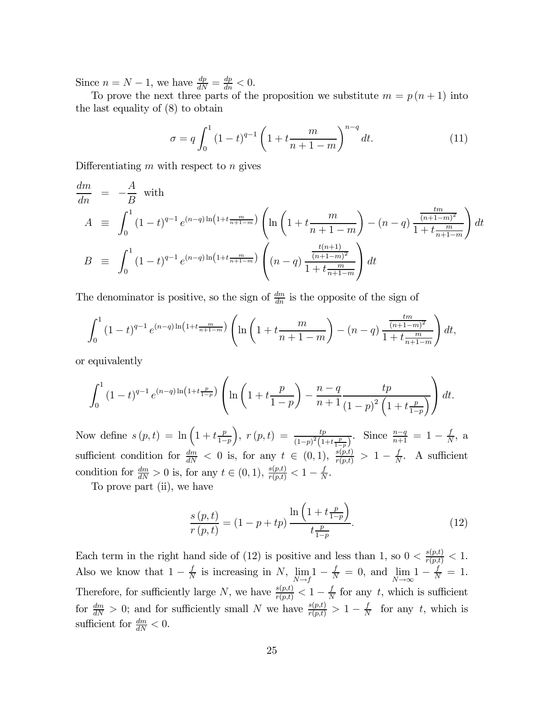Since  $n = N - 1$ , we have  $\frac{dp}{dN} = \frac{dp}{dn} < 0$ .

To prove the next three parts of the proposition we substitute  $m = p(n+1)$  into the last equality of (8) to obtain

$$
\sigma = q \int_0^1 (1-t)^{q-1} \left( 1 + t \frac{m}{n+1-m} \right)^{n-q} dt. \tag{11}
$$

Differentiating  $m$  with respect to  $n$  gives

$$
\frac{dm}{dn} = -\frac{A}{B} \text{ with}
$$
\n
$$
A \equiv \int_0^1 (1-t)^{q-1} e^{(n-q)\ln\left(1+t\frac{m}{n+1-m}\right)} \left( \ln\left(1+t\frac{m}{n+1-m}\right) - (n-q)\frac{\frac{tm}{(n+1-m)^2}}{1+t\frac{m}{n+1-m}} \right) dt
$$
\n
$$
B \equiv \int_0^1 (1-t)^{q-1} e^{(n-q)\ln\left(1+t\frac{m}{n+1-m}\right)} \left( (n-q)\frac{\frac{t(n+1)}{(n+1-m)^2}}{1+t\frac{m}{n+1-m}} \right) dt
$$

The denominator is positive, so the sign of  $\frac{dm}{dn}$  is the opposite of the sign of

$$
\int_0^1 (1-t)^{q-1} e^{(n-q)\ln\left(1+t\frac{m}{n+1-m}\right)} \left( \ln\left(1+t\frac{m}{n+1-m}\right) - (n-q)\frac{\frac{tm}{(n+1-m)^2}}{1+t\frac{m}{n+1-m}} \right) dt,
$$

or equivalently

$$
\int_0^1 (1-t)^{q-1} e^{(n-q)\ln\left(1+t\frac{p}{1-p}\right)} \left( \ln\left(1+t\frac{p}{1-p}\right) - \frac{n-q}{n+1} \frac{tp}{(1-p)^2 \left(1+t\frac{p}{1-p}\right)} \right) dt.
$$

Now define  $s(p, t) = \ln \left( 1 + t \frac{p}{1-p} \right)$  $\Big), r(p,t) = \frac{tp}{(1-p)^2(1+t\frac{p}{1-p})}$ . Since  $\frac{n-q}{n+1} = 1 - \frac{f}{N}$ , a sufficient condition for  $\frac{dm}{dN} < 0$  is, for any  $t \in (0,1)$ ,  $\frac{s(p,t)}{r(p,t)} > 1 - \frac{f}{N}$ . A sufficient condition for  $\frac{dm}{dN} > 0$  is, for any  $t \in (0,1)$ ,  $\frac{s(p,t)}{r(p,t)} < 1 - \frac{f}{N}$ .

To prove part (ii), we have

$$
\frac{s(p,t)}{r(p,t)} = (1 - p + tp) \frac{\ln\left(1 + t\frac{p}{1-p}\right)}{t\frac{p}{1-p}}.
$$
\n(12)

Each term in the right hand side of (12) is positive and less than 1, so  $0 < \frac{s(p,t)}{r(p,t)} < 1$ . Also we know that  $1 - \frac{f}{N}$  is increasing in N,  $\lim_{N \to f} 1 - \frac{f}{N} = 0$ , and  $\lim_{N \to \infty} 1 - \frac{f}{N} = 1$ . Therefore, for sufficiently large N, we have  $\frac{s(p,t)}{r(p,t)} < 1 - \frac{f}{N}$  for any t, which is sufficient for  $\frac{dm}{dN} > 0$ ; and for sufficiently small N we have  $\frac{s(p,t)}{r(p,t)} > 1 - \frac{f}{N}$  for any t, which is sufficient for  $\frac{dm}{dN} < 0$ .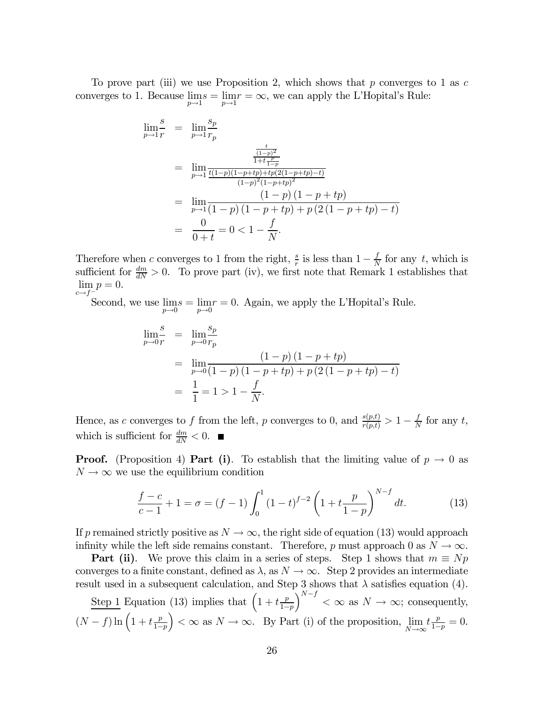To prove part (iii) we use Proposition 2, which shows that  $p$  converges to 1 as  $c$ converges to 1. Because lim  $p\rightarrow 1$  $s = \lim_{h \to 0}$  $\lim_{p \to 1} r = \infty$ , we can apply the L'Hopital's Rule:

$$
\lim_{p \to 1} \frac{s}{r} = \lim_{p \to 1} \frac{s_p}{r_p}
$$
\n
$$
= \lim_{p \to 1} \frac{\frac{t}{(1-p)^2}}{\frac{t(1-p)(1-p+tp)+tp(2(1-p+tp)-t)}{(1-p)^2(1-p+tp)^2}}
$$
\n
$$
= \lim_{p \to 1} \frac{(1-p)(1-p+tp)}{(1-p)(1-p+tp)+p(2(1-p+tp)-t)}
$$
\n
$$
= \frac{0}{0+t} = 0 < 1 - \frac{f}{N}.
$$

Therefore when c converges to 1 from the right,  $\frac{s}{r}$  is less than  $1 - \frac{f}{N}$  for any t, which is sufficient for  $\frac{dm}{dN} > 0$ . To prove part (iv), we first note that Remark 1 establishes that  $\lim_{c \to f^-} p = 0.$ 

Second, we use lim  $p\rightarrow 0$  $s = \lim_{h \to 0}$  $p\rightarrow 0$  $r = 0$ . Again, we apply the L'Hopital's Rule.

$$
\lim_{p \to 0} \frac{s}{r} = \lim_{p \to 0} \frac{s_p}{r_p}
$$
\n
$$
= \lim_{p \to 0} \frac{(1-p)(1-p+tp)}{(1-p)(1-p+tp)+p(2(1-p+tp)-t)}
$$
\n
$$
= \frac{1}{1} = 1 > 1 - \frac{f}{N}.
$$

Hence, as c converges to f from the left, p converges to 0, and  $\frac{s(p,t)}{r(p,t)} > 1 - \frac{f}{N}$  for any t, which is sufficient for  $\frac{dm}{dN} < 0$ .

**Proof.** (Proposition 4) **Part (i)**. To establish that the limiting value of  $p \rightarrow 0$  as  $N \to \infty$  we use the equilibrium condition

$$
\frac{f-c}{c-1} + 1 = \sigma = (f-1) \int_0^1 (1-t)^{f-2} \left(1 + t \frac{p}{1-p}\right)^{N-f} dt.
$$
 (13)

If p remained strictly positive as  $N \to \infty$ , the right side of equation (13) would approach infinity while the left side remains constant. Therefore,  $p$  must approach 0 as  $N \to \infty$ .

**Part (ii).** We prove this claim in a series of steps. Step 1 shows that  $m \equiv Np$ converges to a finite constant, defined as  $\lambda$ , as  $N \to \infty$ . Step 2 provides an intermediate result used in a subsequent calculation, and Step 3 shows that  $\lambda$  satisfies equation (4).

Step 1 Equation (13) implies that  $\left(1 + t \frac{p}{1-p}\right)$  $\int^{N-f} \langle \infty \text{ as } N \to \infty; \text{ consequently,}$  $(N-f)\ln\left(1+t\frac{p}{1-p}\right)$  $\Big) < \infty$  as  $N \to \infty$ . By Part (i) of the proposition,  $\lim_{N \to \infty} t^{\frac{p}{1-p}} = 0$ .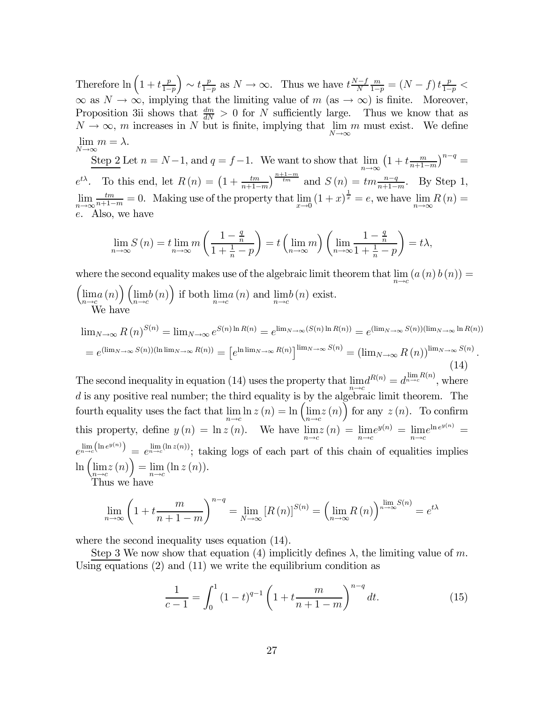Therefore  $\ln \left( 1 + t \frac{p}{1-p} \right)$  $\left( \begin{array}{c} \n\lambda & -\frac{p}{1-p} \text{ as } N \to \infty. \n\end{array} \right)$  Thus we have  $t \frac{N-f}{N}$  $\frac{m}{1-p} = (N-f) t \frac{p}{1-p}$  $\infty$  as  $N \to \infty$ , implying that the limiting value of  $m$  (as  $\to \infty$ ) is finite. Moreover, Proposition 3ii shows that  $\frac{dm}{dN} > 0$  for N sufficiently large. Thus we know that as  $N \to \infty$ , m increases in N but is finite, implying that  $\lim_{N \to \infty} m$  must exist. We define  $\lim_{N\to\infty} m = \lambda.$ 

Step 2 Let  $n = N-1$ , and  $q = f-1$ . We want to show that  $\lim_{n \to \infty} (1 + t \frac{m}{n+1-m})^{n-q} =$  $e^{t\lambda}$ . To this end, let  $R(n) = \left(1 + \frac{tm}{n+1-m}\right)$  $\int_{0}^{\frac{n+1-m}{tm}}$  and  $S(n) = tm \frac{n-q}{n+1-m}$ . By Step 1,  $\lim_{n \to \infty} \frac{tm}{n+1-m} = 0$ . Making use of the property that  $\lim_{x \to 0} (1+x)^{\frac{1}{x}} = e$ , we have  $\lim_{n \to \infty} R(n) =$ . Also, we have

$$
\lim_{n \to \infty} S(n) = t \lim_{n \to \infty} m\left(\frac{1 - \frac{q}{n}}{1 + \frac{1}{n} - p}\right) = t \left(\lim_{n \to \infty} m\right) \left(\lim_{n \to \infty} \frac{1 - \frac{q}{n}}{1 + \frac{1}{n} - p}\right) = t\lambda,
$$

where the second equality makes use of the algebraic limit theorem that  $\lim_{n\to c} (a(n) b(n)) =$  $\left(\lim_{n\to c}a(n)\right)\left(\lim_{n\to c}b(n)\right)$  if both  $\lim_{n\to c}a(n)$  and  $\lim_{n\to c}b(n)$  exist. We have

$$
\lim_{N \to \infty} R(n)^{S(n)} = \lim_{N \to \infty} e^{S(n) \ln R(n)} = e^{\lim_{N \to \infty} (S(n) \ln R(n))} = e^{(\lim_{N \to \infty} S(n))(\lim_{N \to \infty} \ln R(n))}
$$

$$
= e^{(\lim_{N \to \infty} S(n))(\ln \lim_{N \to \infty} R(n))} = \left[e^{\ln \lim_{N \to \infty} R(n)}\right]^{\lim_{N \to \infty} S(n)} = (\lim_{N \to \infty} R(n))^{\lim_{N \to \infty} S(n)}.
$$
(14)

The second inequality in equation (14) uses the property that  $\lim_{n\to\infty} d^{R(n)} = d^{\lim_{n\to\infty} R(n)}$ , where d is any positive real number; the third equality is by the algebraic limit theorem. The fourth equality uses the fact that  $\lim_{n\to c} \ln z(n) = \ln \left( \lim_{n\to c} z(n) \right)$  for any  $z(n)$ . To confirm this property, define  $y(n) = \ln z(n)$ . We have  $\lim_{n \to c} z(n) = \lim_{n \to c} e^{y(n)} = \lim_{n \to c} e^{\ln e^{y(n)}}$  $\lim_{e^{n\to c}} (\ln e^{y(n)}) = e^{\lim_{n\to c} (\ln z(n))}$ ; taking logs of each part of this chain of equalities implies  $\ln\left(\lim_{n\to c}z(n)\right)=\lim_{n\to c}\left(\ln z(n)\right).$ 

Thus we have

$$
\lim_{n \to \infty} \left( 1 + t \frac{m}{n+1-m} \right)^{n-q} = \lim_{N \to \infty} \left[ R(n) \right]^{S(n)} = \left( \lim_{n \to \infty} R(n) \right)^{\lim_{n \to \infty} S(n)} = e^{t\lambda}
$$

where the second inequality uses equation (14).

Step 3 We now show that equation (4) implicitly defines  $\lambda$ , the limiting value of m. Using equations (2) and (11) we write the equilibrium condition as

$$
\frac{1}{c-1} = \int_0^1 (1-t)^{q-1} \left(1 + t \frac{m}{n+1-m}\right)^{n-q} dt.
$$
 (15)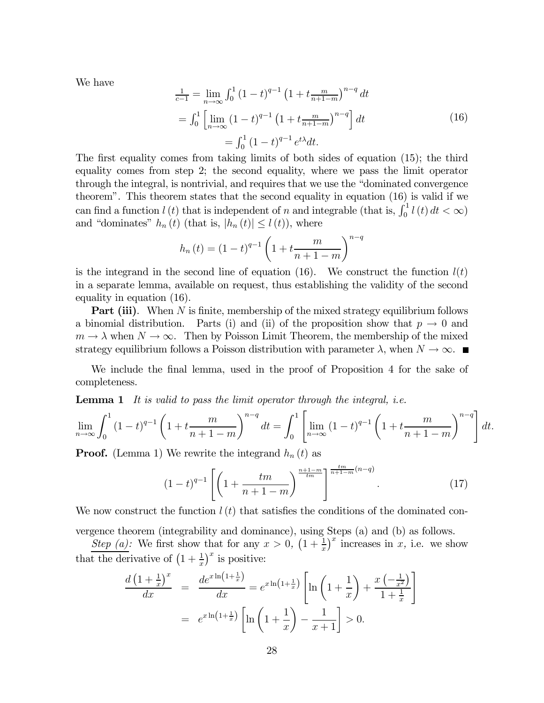We have

$$
\frac{1}{c-1} = \lim_{n \to \infty} \int_0^1 (1-t)^{q-1} \left(1 + t \frac{m}{n+1-m}\right)^{n-q} dt
$$
  
= 
$$
\int_0^1 \left[ \lim_{n \to \infty} (1-t)^{q-1} \left(1 + t \frac{m}{n+1-m}\right)^{n-q} \right] dt
$$
  
= 
$$
\int_0^1 (1-t)^{q-1} e^{t\lambda} dt.
$$
 (16)

The first equality comes from taking limits of both sides of equation (15); the third equality comes from step 2; the second equality, where we pass the limit operator through the integral, is nontrivial, and requires that we use the "dominated convergence theorem". This theorem states that the second equality in equation (16) is valid if we can find a function  $l(t)$  that is independent of n and integrable (that is,  $\int_0^1 l(t) dt < \infty$ ) and "dominates"  $h_n(t)$  (that is,  $|h_n(t)| \leq l(t)$ ), where

$$
h_n(t) = (1-t)^{q-1} \left( 1 + t \frac{m}{n+1-m} \right)^{n-q}
$$

is the integrand in the second line of equation (16). We construct the function  $l(t)$ in a separate lemma, available on request, thus establishing the validity of the second equality in equation (16).

**Part (iii).** When  $N$  is finite, membership of the mixed strategy equilibrium follows a binomial distribution. Parts (i) and (ii) of the proposition show that  $p \to 0$  and  $m \to \lambda$  when  $N \to \infty$ . Then by Poisson Limit Theorem, the membership of the mixed strategy equilibrium follows a Poisson distribution with parameter  $\lambda$ , when  $N \to \infty$ .

We include the final lemma, used in the proof of Proposition 4 for the sake of completeness.

**Lemma 1** It is valid to pass the limit operator through the integral, i.e.

$$
\lim_{n \to \infty} \int_0^1 (1-t)^{q-1} \left(1 + t \frac{m}{n+1-m}\right)^{n-q} dt = \int_0^1 \left[ \lim_{n \to \infty} (1-t)^{q-1} \left(1 + t \frac{m}{n+1-m}\right)^{n-q} \right] dt.
$$

**Proof.** (Lemma 1) We rewrite the integrand  $h_n(t)$  as

$$
(1-t)^{q-1} \left[ \left( 1 + \frac{tm}{n+1-m} \right)^{\frac{n+1-m}{tm}} \right]^{\frac{tm}{n+1-m}(n-q)}.
$$
 (17)

We now construct the function  $l(t)$  that satisfies the conditions of the dominated con-

vergence theorem (integrability and dominance), using Steps (a) and (b) as follows.

Step (a): We first show that for any  $x > 0$ ,  $\left(1 + \frac{1}{x}\right)^x$  increases in x, i.e. we show that the derivative of  $\left(1+\frac{1}{x}\right)^x$  is positive:

$$
\frac{d\left(1+\frac{1}{x}\right)^x}{dx} = \frac{de^{x\ln\left(1+\frac{1}{x}\right)}}{dx} = e^{x\ln\left(1+\frac{1}{x}\right)} \left[\ln\left(1+\frac{1}{x}\right) + \frac{x\left(-\frac{1}{x^2}\right)}{1+\frac{1}{x}}\right]
$$

$$
= e^{x\ln\left(1+\frac{1}{x}\right)} \left[\ln\left(1+\frac{1}{x}\right) - \frac{1}{x+1}\right] > 0.
$$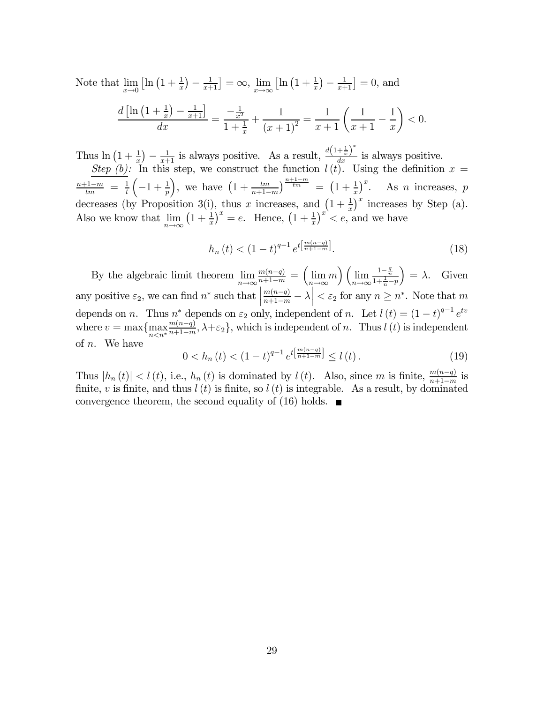Note that  $\lim_{x \to 0} [\ln (1 + \frac{1}{x}) - \frac{1}{x+1}] = \infty$ ,  $\lim_{x \to \infty} [\ln (1 + \frac{1}{x}) - \frac{1}{x+1}] = 0$ , and  $\frac{d \left[\ln\left(1+\frac{1}{x}\right)-\frac{1}{x+1}\right]}{dx} = \frac{-\frac{1}{x^2}}{1+}$  $x^2$  $1+\frac{1}{x}$  $+$  $\frac{1}{(x+1)^2} = \frac{1}{x+1} \left( \frac{1}{x+1} - \frac{1}{x} \right)$  $\setminus$  $< 0.$ 

Thus  $\ln\left(1+\frac{1}{x}\right)-\frac{1}{x+1}$  is always positive. As a result,  $\frac{d\left(1+\frac{1}{x}\right)^x}{dx}$  $\frac{f(x)}{dx}$  is always positive. Step (b): In this step, we construct the function  $l(t)$ . Using the definition  $x =$  $\frac{n+1-m}{tm} = \frac{1}{t}$  $\left(-1 + \frac{1}{p}\right)$ ), we have  $\left(1 + \frac{tm}{n+1-m}\right)$  $\int_{0}^{\frac{n+1-m}{tm}} = (1+\frac{1}{x})^x$ . As *n* increases, *p* decreases (by Proposition 3(i), thus x increases, and  $\left(1+\frac{1}{x}\right)^x$  increases by Step (a). Also we know that  $\lim_{n \to \infty} (1 + \frac{1}{x})^x = e$ . Hence,  $(1 + \frac{1}{x})^x < e$ , and we have

$$
h_n(t) < (1-t)^{q-1} \, e^{t\left[\frac{m(n-q)}{n+1-m}\right]}.\tag{18}
$$

By the algebraic limit theorem  $\lim_{n \to \infty} \frac{m(n-q)}{n+1-m} = \left(\lim_{n \to \infty} m\right) \left(\lim_{n \to \infty} \frac{1-\frac{q}{n}}{1+\frac{1}{n}-p}\right)$ ´ Given any positive  $\varepsilon_2$ , we can find  $n^*$  such that  $\left| \frac{m(n-q)}{n+1-m} - \lambda \right| < \varepsilon_2$  for any  $n \geq n^*$ . Note that m depends on *n*. Thus  $n^*$  depends on  $\varepsilon_2$  only, independent of *n*. Let  $l(t) = (1-t)^{q-1} e^{tv}$ where  $v = \max\{\max_{n \leq n^*} \}$  $\frac{m(n-q)}{n+1-m}, \lambda+\varepsilon_2$ , which is independent of n. Thus  $l(t)$  is independent of  $n$ . We have

$$
0 < h_n(t) < (1-t)^{q-1} \, e^{t\left[\frac{m(n-q)}{n+1-m}\right]} \le l\left(t\right). \tag{19}
$$

Thus  $|h_n(t)| < l(t)$ , i.e.,  $h_n(t)$  is dominated by  $l(t)$ . Also, since m is finite,  $\frac{m(n-q)}{n+1-m}$  is finite, v is finite, and thus  $l(t)$  is finite, so  $l(t)$  is integrable. As a result, by dominated convergence theorem, the second equality of (16) holds.  $\blacksquare$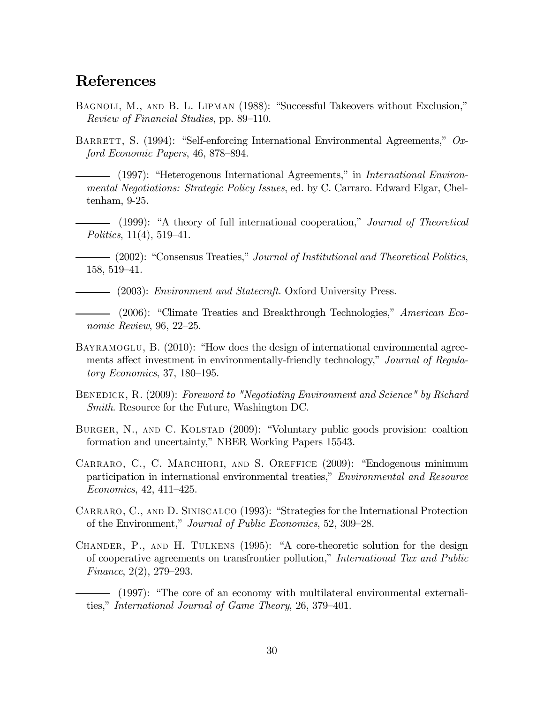## References

- Bagnoli, M., and B. L. Lipman (1988): "Successful Takeovers without Exclusion," Review of Financial Studies, pp. 89—110.
- BARRETT, S. (1994): "Self-enforcing International Environmental Agreements,"  $Ox$ ford Economic Papers, 46, 878—894.
	- (1997): "Heterogenous International Agreements," in *International Environ*mental Negotiations: Strategic Policy Issues, ed. by C. Carraro. Edward Elgar, Cheltenham, 9-25.
- (1999): "A theory of full international cooperation," Journal of Theoretical Politics, 11(4), 519—41.
- (2002): "Consensus Treaties," Journal of Institutional and Theoretical Politics, 158, 519—41.
- (2003): *Environment and Statecraft*. Oxford University Press.
- (2006): "Climate Treaties and Breakthrough Technologies," *American Eco*nomic Review, 96, 22—25.
- BAYRAMOGLU, B. (2010): "How does the design of international environmental agreements affect investment in environmentally-friendly technology," Journal of Regulatory Economics, 37, 180—195.
- BENEDICK, R. (2009): Foreword to "Negotiating Environment and Science" by Richard Smith. Resource for the Future, Washington DC.
- BURGER, N., AND C. KOLSTAD (2009): "Voluntary public goods provision: coaltion formation and uncertainty," NBER Working Papers 15543.
- Carraro, C., C. Marchiori, and S. Oreffice (2009): "Endogenous minimum participation in international environmental treaties," Environmental and Resource Economics, 42, 411—425.
- Carraro, C., and D. Siniscalco (1993): "Strategies for the International Protection of the Environment," Journal of Public Economics, 52, 309—28.
- Chander, P., and H. Tulkens (1995): "A core-theoretic solution for the design of cooperative agreements on transfrontier pollution," International Tax and Public Finance, 2(2), 279—293.
	- (1997): "The core of an economy with multilateral environmental externalities," International Journal of Game Theory, 26, 379—401.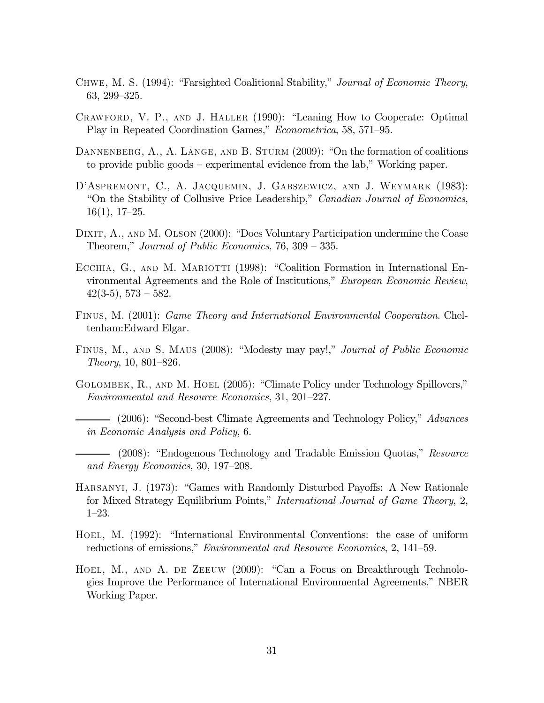- Chwe, M. S. (1994): "Farsighted Coalitional Stability," Journal of Economic Theory, 63, 299—325.
- Crawford, V. P., and J. Haller (1990): "Leaning How to Cooperate: Optimal Play in Repeated Coordination Games," Econometrica, 58, 571—95.
- DANNENBERG, A., A. LANGE, AND B. STURM (2009): "On the formation of coalitions to provide public goods — experimental evidence from the lab," Working paper.
- D'ASPREMONT, C., A. JACQUEMIN, J. GABSZEWICZ, AND J. WEYMARK (1983): "On the Stability of Collusive Price Leadership," Canadian Journal of Economics, 16(1), 17—25.
- DIXIT, A., AND M. OLSON (2000): "Does Voluntary Participation undermine the Coase Theorem," Journal of Public Economics, 76, 309 — 335.
- ECCHIA, G., AND M. MARIOTTI (1998): "Coalition Formation in International Environmental Agreements and the Role of Institutions," European Economic Review,  $42(3-5), 573-582.$
- Finus, M. (2001): Game Theory and International Environmental Cooperation. Cheltenham:Edward Elgar.
- Finus, M., and S. Maus (2008): "Modesty may pay!," Journal of Public Economic Theory, 10, 801—826.
- Golombek, R., and M. Hoel (2005): "Climate Policy under Technology Spillovers," Environmental and Resource Economics, 31, 201—227.
	- (2006): "Second-best Climate Agreements and Technology Policy," *Advances* in Economic Analysis and Policy, 6.
- (2008): "Endogenous Technology and Tradable Emission Quotas," Resource and Energy Economics, 30, 197—208.
- Harsanyi, J. (1973): "Games with Randomly Disturbed Payoffs: A New Rationale for Mixed Strategy Equilibrium Points," International Journal of Game Theory, 2, 1—23.
- Hoel, M. (1992): "International Environmental Conventions: the case of uniform reductions of emissions," Environmental and Resource Economics, 2, 141—59.
- Hoel, M., and A. de Zeeuw (2009): "Can a Focus on Breakthrough Technologies Improve the Performance of International Environmental Agreements," NBER Working Paper.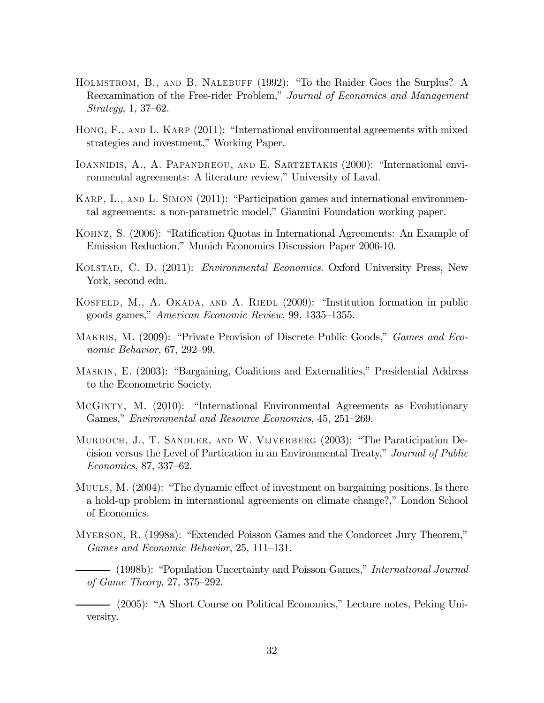- Holmstrom, B., and B. Nalebuff (1992): "To the Raider Goes the Surplus? A Reexamination of the Free-rider Problem," Journal of Economics and Management Strategy, 1, 37—62.
- Hong, F., and L. Karp (2011): "International environmental agreements with mixed strategies and investment," Working Paper.
- IOANNIDIS, A., A. PAPANDREOU, AND E. SARTZETAKIS (2000): "International environmental agreements: A literature review," University of Laval.
- KARP, L., AND L. SIMON (2011): "Participation games and international environmental agreements: a non-parametric model," Giannini Foundation working paper.
- Kohnz, S. (2006): "Ratification Quotas in International Agreements: An Example of Emission Reduction," Munich Economics Discussion Paper 2006-10.
- Kolstad, C. D. (2011): Environmental Economics. Oxford University Press, New York, second edn.
- KOSFELD, M., A. OKADA, AND A. RIEDL (2009): "Institution formation in public goods games," American Economic Review, 99, 1335—1355.
- MAKRIS, M. (2009): "Private Provision of Discrete Public Goods," *Games and Eco*nomic Behavior, 67, 292—99.
- Maskin, E. (2003): "Bargaining, Coalitions and Externalities," Presidential Address to the Econometric Society.
- McGinty, M. (2010): "International Environmental Agreements as Evolutionary Games," Environmental and Resource Economics, 45, 251—269.
- Murdoch, J., T. Sandler, and W. Vijverberg (2003): "The Paraticipation Decision versus the Level of Partication in an Environmental Treaty," Journal of Public Economics, 87, 337—62.
- Muuls, M. (2004): "The dynamic effect of investment on bargaining positions. Is there a hold-up problem in international agreements on climate change?," London School of Economics.
- Myerson, R. (1998a): "Extended Poisson Games and the Condorcet Jury Theorem," Games and Economic Behavior, 25, 111—131.
	- (1998b): "Population Uncertainty and Poisson Games," *International Journal* of Game Theory, 27, 375—292.

(2005): "A Short Course on Political Economics," Lecture notes, Peking University.